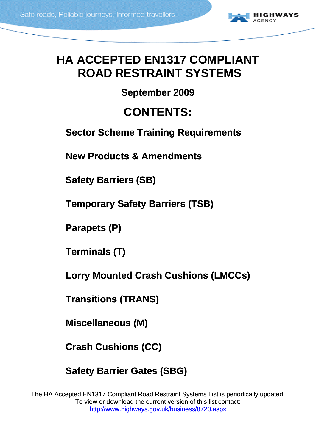

# <span id="page-0-0"></span>**HA ACCEPTED EN1317 COMPLIANT ROAD RESTRAINT SYSTEMS**

## **September 2009**

# **CONTENTS:**

**[Sector Scheme Training Requirements](#page-1-0)**

**[New Products & Amendments](#page-1-0)**

**[Safety Barriers \(SB\)](#page-2-0)**

**[Temporary Safety Barriers \(TSB\)](#page-24-0)** 

**[Parapets \(P\)](#page-34-0)**

**[Terminals \(T\)](#page-39-0)**

**[Lorry Mounted Crash Cushions \(LMCCs\)](#page-43-0)**

**[Transitions \(TRANS\)](#page-45-0)**

**[Miscellaneous \(M\)](#page-50-0)**

**[Crash Cushions \(CC\)](#page-51-0)**

**[Safety Barrier Gates \(SBG\)](#page-54-0)**

The HA Accepted EN1317 Compliant Road Restraint Systems List is periodically updated. To view or download the current version of this list contact: <http://www.highways.gov.uk/business/8720.aspx>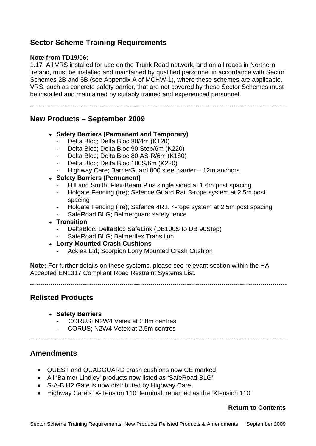## <span id="page-1-0"></span>**Sector Scheme Training Requirements**

#### **Note from TD19/06:**

1.17 All VRS installed for use on the Trunk Road network, and on all roads in Northern Ireland, must be installed and maintained by qualified personnel in accordance with Sector Schemes 2B and 5B (see Appendix A of MCHW-1), where these schemes are applicable. VRS, such as concrete safety barrier, that are not covered by these Sector Schemes must be installed and maintained by suitably trained and experienced personnel.

### **New Products – September 2009**

#### **Safety Barriers (Permanent and Temporary)**

- Delta Bloc; Delta Bloc 80/4m (K120)
- Delta Bloc; Delta Bloc 90 Step/6m (K220)
- Delta Bloc; Delta Bloc 80 AS-R/6m (K180)
- Delta Bloc; Delta Bloc 100S/6m (K220)
- Highway Care; BarrierGuard 800 steel barrier 12m anchors
- **Safety Barriers (Permanent)** 
	- Hill and Smith; Flex-Beam Plus single sided at 1.6m post spacing
	- Holgate Fencing (Ire); Safence Guard Rail 3-rope system at 2.5m post spacing
	- Holgate Fencing (Ire); Safence 4R.I. 4-rope system at 2.5m post spacing
	- SafeRoad BLG; Balmerguard safety fence
- **Transition** 
	- DeltaBloc; DeltaBloc SafeLink (DB100S to DB 90Step)
	- SafeRoad BLG: Balmerflex Transition
- **Lorry Mounted Crash Cushions** 
	- Acklea Ltd; Scorpion Lorry Mounted Crash Cushion

**Note:** For further details on these systems, please see relevant section within the HA Accepted EN1317 Compliant Road Restraint Systems List.

## **Relisted Products**

- **Safety Barriers** 
	- CORUS; N2W4 Vetex at 2.0m centres
	- CORUS; N2W4 Vetex at 2.5m centres
	-

## **Amendments**

- QUEST and QUADGUARD crash cushions now CE marked
- All 'Balmer Lindley' products now listed as 'SafeRoad BLG'.
- S-A-B H2 Gate is now distributed by Highway Care.
- Highway Care's 'X-Tension 110' terminal, renamed as the 'Xtension 110'

#### **[Return to Contents](#page-0-0)**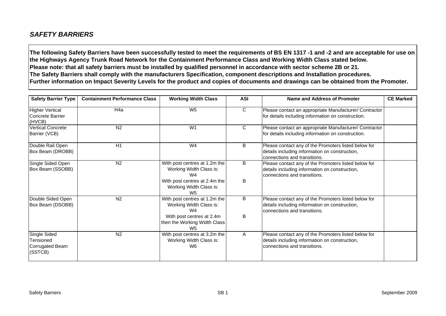## <span id="page-2-0"></span>*SAFETY BARRIERS*

**The following Safety Barriers have been successfully tested to meet the requirements of BS EN 1317 -1 and -2 and are acceptable for use on the Highways Agency Trunk Road Network for the Containment Performance Class and Working Width Class stated below. Please note: that all safety barriers must be installed by qualified personnel in accordance with sector scheme 2B or 21. The Safety Barriers shall comply with the manufacturers Specification, component descriptions and Installation procedures. Further information on Impact Severity Levels for the product and copies of documents and drawings can be obtained from the Promoter.**

| <b>Safety Barrier Type</b>                                     | <b>Containment Performance Class</b> | <b>Working Width Class</b>                                                  | <b>ASI</b>   | Name and Address of Promoter                                                                                                           | <b>CE Marked</b> |
|----------------------------------------------------------------|--------------------------------------|-----------------------------------------------------------------------------|--------------|----------------------------------------------------------------------------------------------------------------------------------------|------------------|
| <b>Higher Vertical</b><br>Concrete Barrier<br>(HVCB)           | H <sub>4</sub> a                     | W <sub>5</sub>                                                              | $\mathsf{C}$ | Please contact an appropriate Manufacturer/ Contractor<br>for details including information on construction.                           |                  |
| <b>Vertical Concrete</b><br>Barrier (VCB)                      | N <sub>2</sub>                       | W <sub>1</sub>                                                              | $\mathsf{C}$ | Please contact an appropriate Manufacturer/ Contractor<br>for details including information on construction.                           |                  |
| Double Rail Open<br>Box Beam (DROBB)                           | H1                                   | W <sub>4</sub>                                                              | B            | Please contact any of the Promoters listed below for<br>details including information on construction,<br>connections and transitions. |                  |
| Single Sided Open<br>Box Beam (SSOBB)                          | N <sub>2</sub>                       | With post centres at 1.2m the<br>Working Width Class is:<br>W <sub>4</sub>  | B            | Please contact any of the Promoters listed below for<br>details including information on construction,<br>connections and transitions. |                  |
|                                                                |                                      | With post centres at 2.4m the<br>Working Width Class is:<br>W <sub>5</sub>  | B            |                                                                                                                                        |                  |
| Double Sided Open<br>Box Beam (DSOBB)                          | N <sub>2</sub>                       | With post centres at 1.2m the<br>Working Width Class is:<br>W <sub>4</sub>  | B            | Please contact any of the Promoters listed below for<br>details including information on construction,<br>connections and transitions. |                  |
|                                                                |                                      | With post centres at 2.4m<br>then the Working Width Class<br>W <sub>5</sub> | B            |                                                                                                                                        |                  |
| Single Sided<br>Tensioned<br><b>Corrugated Beam</b><br>(SSTCB) | N <sub>2</sub>                       | With post centres at 3.2m the<br>Working Width Class is:<br>W <sub>6</sub>  | A            | Please contact any of the Promoters listed below for<br>details including information on construction,<br>connections and transitions. |                  |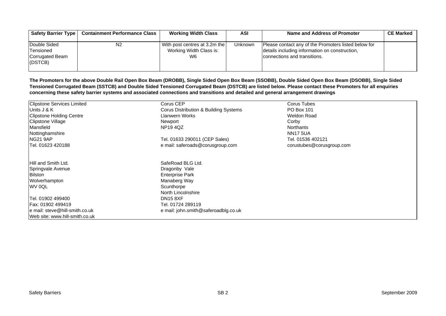| <b>Safety Barrier Type</b>                               | <b>Containment Performance Class</b> | <b>Working Width Class</b>                                     | ASI     | Name and Address of Promoter                                                                                                           | <b>CE Marked</b> |
|----------------------------------------------------------|--------------------------------------|----------------------------------------------------------------|---------|----------------------------------------------------------------------------------------------------------------------------------------|------------------|
| Double Sided<br>Tensioned<br>Corrugated Beam<br>I(DSTCB) | N <sub>2</sub>                       | With post centres at 3.2m the<br>Working Width Class is:<br>W6 | Unknown | Please contact any of the Promoters listed below for<br>details including information on construction,<br>connections and transitions. |                  |

**The Promoters for the above Double Rail Open Box Beam (DROBB), Single Sided Open Box Beam (SSOBB), Double Sided Open Box Beam (DSOBB), Single Sided Tensioned Corrugated Beam (SSTCB) and Double Sided Tensioned Corrugated Beam (DSTCB) are listed below. Please contact these Promoters for all enquiries concerning these safety barrier systems and associated connections and transitions and detailed and general arrangement drawings**

| <b>Clipstone Services Limited</b> | Corus CEP                             | Corus Tubes               |  |
|-----------------------------------|---------------------------------------|---------------------------|--|
| Units J & K                       | Corus Distribution & Building Systems | <b>PO Box 101</b>         |  |
| <b>Clipstone Holding Centre</b>   | Llanwern Works                        | <b>Weldon Road</b>        |  |
| <b>Clipstone Village</b>          | Newport                               | Corby                     |  |
| Mansfield                         | <b>NP194QZ</b>                        | Northants                 |  |
| Nottinghamshire                   |                                       | <b>NN17 5UA</b>           |  |
| <b>NG21 9AP</b>                   | Tel. 01633 290011 (CEP Sales)         | Tel. 01536 402121         |  |
| Tel. 01623 420188                 | e mail: saferoads@corusgroup.com      | corustubes@corusgroup.com |  |
| Hill and Smith Ltd.               | SafeRoad BLG Ltd.                     |                           |  |
| Springvale Avenue                 | Dragonby Vale                         |                           |  |
| Bilston                           | <b>Enterprise Park</b>                |                           |  |
| Wolverhampton                     | Manaberg Way                          |                           |  |
| WV 0QL                            | Scunthorpe                            |                           |  |
|                                   | North Lincolnshire                    |                           |  |
| Tel. 01902 499400                 | <b>DN15 8XF</b>                       |                           |  |
| Fax: 01902 499419                 | Tel. 01724 289119                     |                           |  |
| e mail: steve@hill-smith.co.uk    | e mail: john.smith@saferoadblg.co.uk  |                           |  |
| Web site: www.hill-smith.co.uk    |                                       |                           |  |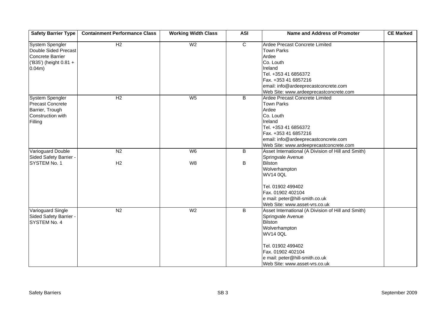| <b>Safety Barrier Type</b>                                                                             | <b>Containment Performance Class</b> | <b>Working Width Class</b> | <b>ASI</b>     | <b>Name and Address of Promoter</b>                                                                                                                                                                                                        | <b>CE Marked</b> |
|--------------------------------------------------------------------------------------------------------|--------------------------------------|----------------------------|----------------|--------------------------------------------------------------------------------------------------------------------------------------------------------------------------------------------------------------------------------------------|------------------|
| <b>System Spengler</b><br>Double Sided Precast<br>Concrete Barrier<br>('B35') (height 0.81 +<br>0.04m) | H2                                   | W <sub>2</sub>             | $\overline{c}$ | Ardee Precast Concrete Limited<br><b>Town Parks</b><br>Ardee<br>Co. Louth<br>Ireland<br>Tel. +353 41 6856372<br>Fax. +353 41 6857216<br>email: info@ardeeprecastconcrete.com<br>Web Site: www.ardeeprecastconcrete.com                     |                  |
| System Spengler<br><b>Precast Concrete</b><br>Barrier, Trough<br>Construction with<br>Filling          | $\overline{H2}$                      | $W_5$                      | B              | Ardee Precast Concrete Limited<br><b>Town Parks</b><br>Ardee<br>Co. Louth<br>Ireland<br>Tel. +353 41 6856372<br>Fax. +353 41 6857216<br>email: info@ardeeprecastconcrete.com<br>Web Site: www.ardeeprecastconcrete.com                     |                  |
| <b>Varioguard Double</b><br>Sided Safety Barrier -                                                     | N <sub>2</sub>                       | W6                         | B              | Asset International (A Division of Hill and Smith)<br>Springvale Avenue                                                                                                                                                                    |                  |
| SYSTEM No. 1                                                                                           | H2                                   | W <sub>8</sub>             | B              | <b>Bilston</b><br>Wolverhampton<br><b>WV14 0QL</b><br>Tel. 01902 499402<br>Fax. 01902 402104<br>e mail: peter@hill-smith.co.uk<br>Web Site: www.asset-vrs.co.uk                                                                            |                  |
| Varioguard Single<br>Sided Safety Barrier -<br>SYSTEM No. 4                                            | N <sub>2</sub>                       | W <sub>2</sub>             | $\overline{B}$ | Asset International (A Division of Hill and Smith)<br>Springvale Avenue<br><b>Bilston</b><br>Wolverhampton<br><b>WV14 0QL</b><br>Tel. 01902 499402<br>Fax. 01902 402104<br>e mail: peter@hill-smith.co.uk<br>Web Site: www.asset-vrs.co.uk |                  |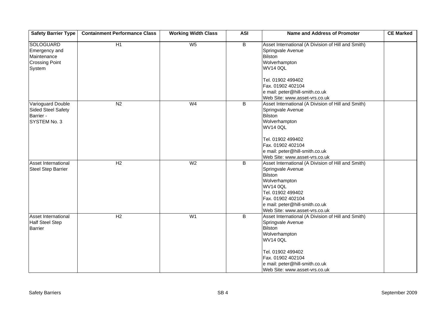| <b>Safety Barrier Type</b>                                                          | <b>Containment Performance Class</b> | <b>Working Width Class</b> | <b>ASI</b>     | Name and Address of Promoter                                                                                                                                                                                                               | <b>CE Marked</b> |
|-------------------------------------------------------------------------------------|--------------------------------------|----------------------------|----------------|--------------------------------------------------------------------------------------------------------------------------------------------------------------------------------------------------------------------------------------------|------------------|
| <b>SOLOGUARD</b><br>Emergency and<br>Maintenance<br><b>Crossing Point</b><br>System | H1                                   | W <sub>5</sub>             | $\overline{B}$ | Asset International (A Division of Hill and Smith)<br>Springvale Avenue<br>Bilston<br>Wolverhampton<br><b>WV14 0QL</b><br>Tel. 01902 499402<br>Fax. 01902 402104<br>e mail: peter@hill-smith.co.uk<br>Web Site: www.asset-vrs.co.uk        |                  |
| <b>Varioguard Double</b><br><b>Sided Steel Safety</b><br>Barrier -<br>SYSTEM No. 3  | $\overline{N2}$                      | W <sub>4</sub>             | B              | Asset International (A Division of Hill and Smith)<br>Springvale Avenue<br>Bilston<br>Wolverhampton<br><b>WV14 0QL</b><br>Tel. 01902 499402<br>Fax. 01902 402104<br>e mail: peter@hill-smith.co.uk<br>Web Site: www.asset-vrs.co.uk        |                  |
| Asset International<br><b>Steel Step Barrier</b>                                    | H <sub>2</sub>                       | W <sub>2</sub>             | B              | Asset International (A Division of Hill and Smith)<br>Springvale Avenue<br><b>Bilston</b><br>Wolverhampton<br><b>WV14 0QL</b><br>Tel. 01902 499402<br>Fax. 01902 402104<br>e mail: peter@hill-smith.co.uk<br>Web Site: www.asset-vrs.co.uk |                  |
| Asset International<br><b>Half Steel Step</b><br><b>Barrier</b>                     | H2                                   | W <sub>1</sub>             | $\overline{B}$ | Asset International (A Division of Hill and Smith)<br>Springvale Avenue<br>Bilston<br>Wolverhampton<br><b>WV14 0QL</b><br>Tel. 01902 499402<br>Fax. 01902 402104<br>e mail: peter@hill-smith.co.uk<br>Web Site: www.asset-vrs.co.uk        |                  |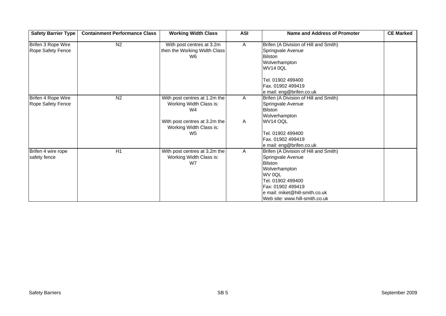| <b>Safety Barrier Type</b>              | <b>Containment Performance Class</b> | <b>Working Width Class</b>                                                 | <b>ASI</b>   | <b>Name and Address of Promoter</b>                                                                                                                                                                                   | <b>CE Marked</b> |
|-----------------------------------------|--------------------------------------|----------------------------------------------------------------------------|--------------|-----------------------------------------------------------------------------------------------------------------------------------------------------------------------------------------------------------------------|------------------|
| Brifen 3 Rope Wire<br>Rope Safety Fence | N <sub>2</sub>                       | With post centres at 3.2m<br>then the Working Width Class<br>W6            | $\mathsf{A}$ | Brifen (A Division of Hill and Smith)<br>Springvale Avenue<br><b>Bilston</b><br>Wolverhampton<br><b>WV14 0QL</b>                                                                                                      |                  |
|                                         |                                      |                                                                            |              | Tel. 01902 499400<br>Fax. 01902 499419<br>e mail: eng@brifen.co.uk                                                                                                                                                    |                  |
| Brifen 4 Rope Wire<br>Rope Safety Fence | N <sub>2</sub>                       | With post centres at 1.2m the<br>Working Width Class is:<br>W4             | $\mathsf{A}$ | Brifen (A Division of Hill and Smith)<br>Springvale Avenue<br><b>Bilston</b><br>Wolverhampton                                                                                                                         |                  |
|                                         |                                      | With post centres at 3.2m the<br>Working Width Class is:<br>W <sub>5</sub> | A            | WV14 OQL<br>Tel. 01902 499400<br>Fax. 01902 499419<br>e mail: eng@brifen.co.uk                                                                                                                                        |                  |
| Brifen 4 wire rope<br>safety fence      | $\overline{H1}$                      | With post centres at 3.2m the<br>Working Width Class is:<br>W7             | A            | Brifen (A Division of Hill and Smith)<br>Springvale Avenue<br><b>Bilston</b><br>Wolverhampton<br>WV 0QL<br>Tel. 01902 499400<br>Fax: 01902 499419<br>e mail: miket@hill-smith.co.uk<br>Web site: www.hill-smith.co.uk |                  |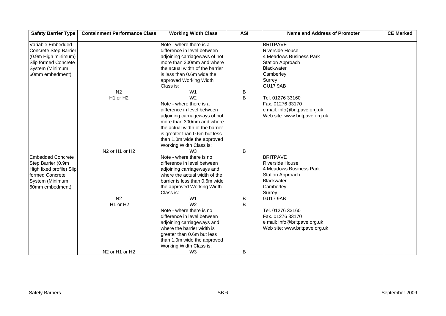| <b>Safety Barrier Type</b> | <b>Containment Performance Class</b>               | <b>Working Width Class</b>      | <b>ASI</b> | <b>Name and Address of Promoter</b> | <b>CE Marked</b> |
|----------------------------|----------------------------------------------------|---------------------------------|------------|-------------------------------------|------------------|
| Variable Embedded          |                                                    | Note - where there is a         |            | <b>BRITPAVE</b>                     |                  |
| Concrete Step Barrier      |                                                    | difference in level between     |            | <b>Riverside House</b>              |                  |
| (0.9m High minimum)        |                                                    | adjoining carriageways of not   |            | 4 Meadows Business Park             |                  |
| Slip formed Concrete       |                                                    | more than 300mm and where       |            | <b>Station Approach</b>             |                  |
| System (Minimum            |                                                    | the actual width of the barrier |            | Blackwater                          |                  |
| 60mm embedment)            |                                                    | is less than 0.6m wide the      |            | Camberley                           |                  |
|                            |                                                    | approved Working Width          |            | Surrey                              |                  |
|                            |                                                    | Class is:                       |            | GU17 9AB                            |                  |
|                            | N <sub>2</sub>                                     | W <sub>1</sub>                  | B          |                                     |                  |
|                            | H1 or H2                                           | W <sub>2</sub>                  | B          | Tel. 01276 33160                    |                  |
|                            |                                                    | Note - where there is a         |            | Fax. 01276 33170                    |                  |
|                            |                                                    | difference in level between     |            | e mail: info@britpave.org.uk        |                  |
|                            |                                                    | adjoining carriageways of not   |            | Web site: www.britpave.org.uk       |                  |
|                            |                                                    | more than 300mm and where       |            |                                     |                  |
|                            |                                                    | the actual width of the barrier |            |                                     |                  |
|                            |                                                    | is greater than 0.6m but less   |            |                                     |                  |
|                            |                                                    | than 1.0m wide the approved     |            |                                     |                  |
|                            |                                                    | Working Width Class is:         |            |                                     |                  |
|                            | N <sub>2</sub> or H <sub>1</sub> or H <sub>2</sub> | W <sub>3</sub>                  | B          |                                     |                  |
| <b>Embedded Concrete</b>   |                                                    | Note - where there is no        |            | <b>BRITPAVE</b>                     |                  |
| Step Barrier (0.9m         |                                                    | difference in level between     |            | <b>Riverside House</b>              |                  |
| High fixed profile) Slip   |                                                    | adjoining carriageways and      |            | 4 Meadows Business Park             |                  |
| formed Concrete            |                                                    | where the actual width of the   |            | <b>Station Approach</b>             |                  |
| System (Minimum            |                                                    | barrier is less than 0.6m wide  |            | <b>Blackwater</b>                   |                  |
| 60mm embedment)            |                                                    | the approved Working Width      |            | Camberley                           |                  |
|                            |                                                    | Class is:                       |            | Surrey                              |                  |
|                            | N <sub>2</sub>                                     | W <sub>1</sub>                  | B          | <b>GU17 9AB</b>                     |                  |
|                            | H1 or H2                                           | W <sub>2</sub>                  | B          |                                     |                  |
|                            |                                                    | Note - where there is no        |            | Tel. 01276 33160                    |                  |
|                            |                                                    | difference in level between     |            | Fax. 01276 33170                    |                  |
|                            |                                                    | adjoining carriageways and      |            | e mail: info@britpave.org.uk        |                  |
|                            |                                                    | where the barrier width is      |            | Web site: www.britpave.org.uk       |                  |
|                            |                                                    | greater than 0.6m but less      |            |                                     |                  |
|                            |                                                    | than 1.0m wide the approved     |            |                                     |                  |
|                            |                                                    | Working Width Class is:         |            |                                     |                  |
|                            | N <sub>2</sub> or H <sub>1</sub> or H <sub>2</sub> | W <sub>3</sub>                  | B          |                                     |                  |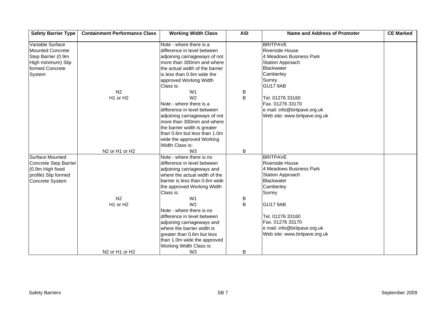| <b>Safety Barrier Type</b> | <b>Containment Performance Class</b>               | <b>Working Width Class</b>      | <b>ASI</b> | <b>Name and Address of Promoter</b> | <b>CE Marked</b> |
|----------------------------|----------------------------------------------------|---------------------------------|------------|-------------------------------------|------------------|
| Variable Surface           |                                                    | Note - where there is a         |            | <b>BRITPAVE</b>                     |                  |
| <b>Mounted Concrete</b>    |                                                    | difference in level between     |            | <b>Riverside House</b>              |                  |
| Step Barrier (0.9m         |                                                    | adjoining carriageways of not   |            | 4 Meadows Business Park             |                  |
| High minimum) Slip         |                                                    | more than 300mm and where       |            | <b>Station Approach</b>             |                  |
| formed Concrete            |                                                    | the actual width of the barrier |            | Blackwater                          |                  |
| System                     |                                                    | is less than 0.6m wide the      |            | Camberley                           |                  |
|                            |                                                    | approved Working Width          |            | Surrey                              |                  |
|                            |                                                    | Class is:                       |            | GU17 9AB                            |                  |
|                            | N <sub>2</sub>                                     | W <sub>1</sub>                  | B          |                                     |                  |
|                            | H1 or H2                                           | W <sub>2</sub>                  | B          | Tel. 01276 33160                    |                  |
|                            |                                                    | Note - where there is a         |            | Fax. 01276 33170                    |                  |
|                            |                                                    | difference in level between     |            | e mail: info@britpave.org.uk        |                  |
|                            |                                                    | adjoining carriageways of not   |            | Web site: www.britpave.org.uk       |                  |
|                            |                                                    | more than 300mm and where       |            |                                     |                  |
|                            |                                                    | the barrier width is greater    |            |                                     |                  |
|                            |                                                    | than 0.6m but less than 1.0m    |            |                                     |                  |
|                            |                                                    | wide the approved Working       |            |                                     |                  |
|                            |                                                    | Width Class is:                 |            |                                     |                  |
|                            | N <sub>2</sub> or H <sub>1</sub> or H <sub>2</sub> | W <sub>3</sub>                  | B          |                                     |                  |
| <b>Surface Mounted</b>     |                                                    | Note - where there is no        |            | <b>BRITPAVE</b>                     |                  |
| Concrete Step Barrier      |                                                    | difference in level between     |            | <b>Riverside House</b>              |                  |
| (0.9m High fixed           |                                                    | adjoining carriageways and      |            | 4 Meadows Business Park             |                  |
| profile) Slip formed       |                                                    | where the actual width of the   |            | <b>Station Approach</b>             |                  |
| Concrete System            |                                                    | barrier is less than 0.6m wide  |            | <b>Blackwater</b>                   |                  |
|                            |                                                    | the approved Working Width      |            | Camberley                           |                  |
|                            |                                                    | Class is:                       |            | Surrey                              |                  |
|                            | N <sub>2</sub>                                     | W <sub>1</sub>                  | B          |                                     |                  |
|                            | H1 or H2                                           | W <sub>2</sub>                  | B          | <b>GU17 9AB</b>                     |                  |
|                            |                                                    | Note - where there is no        |            |                                     |                  |
|                            |                                                    | difference in level between     |            | Tel. 01276 33160                    |                  |
|                            |                                                    | adjoining carriageways and      |            | Fax. 01276 33170                    |                  |
|                            |                                                    | where the barrier width is      |            | e mail: info@britpave.org.uk        |                  |
|                            |                                                    | greater than 0.6m but less      |            | Web site: www.britpave.org.uk       |                  |
|                            |                                                    | than 1.0m wide the approved     |            |                                     |                  |
|                            |                                                    | Working Width Class is:         |            |                                     |                  |
|                            | N <sub>2</sub> or H <sub>1</sub> or H <sub>2</sub> | W <sub>3</sub>                  | B          |                                     |                  |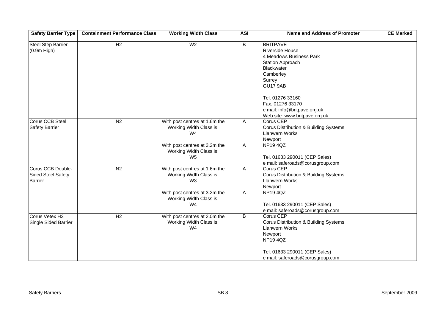| <b>Safety Barrier Type</b>                                       | <b>Containment Performance Class</b> | <b>Working Width Class</b>                                                 | <b>ASI</b>     | <b>Name and Address of Promoter</b>                                                                                                              | <b>CE Marked</b> |
|------------------------------------------------------------------|--------------------------------------|----------------------------------------------------------------------------|----------------|--------------------------------------------------------------------------------------------------------------------------------------------------|------------------|
| <b>Steel Step Barrier</b><br>$(0.9m$ High)                       | H2                                   | W <sub>2</sub>                                                             | $\overline{B}$ | <b>BRITPAVE</b><br><b>Riverside House</b><br>4 Meadows Business Park<br><b>Station Approach</b><br>Blackwater<br>Camberley<br>Surrey             |                  |
|                                                                  |                                      |                                                                            |                | <b>GU17 9AB</b><br>Tel. 01276 33160<br>Fax. 01276 33170<br>e mail: info@britpave.org.uk<br>Web site: www.britpave.org.uk                         |                  |
| <b>Corus CCB Steel</b><br><b>Safety Barrier</b>                  | N <sub>2</sub>                       | With post centres at 1.6m the<br>Working Width Class is:<br>W4             | A              | <b>Corus CEP</b><br>Corus Distribution & Building Systems<br><b>Llanwern Works</b><br>Newport                                                    |                  |
|                                                                  |                                      | With post centres at 3.2m the<br>Working Width Class is:<br>W <sub>5</sub> | A              | <b>NP194QZ</b><br>Tel. 01633 290011 (CEP Sales)<br>e mail: saferoads@corusgroup.com                                                              |                  |
| Corus CCB Double-<br><b>Sided Steel Safety</b><br><b>Barrier</b> | N <sub>2</sub>                       | With post centres at 1.6m the<br>Working Width Class is:<br>W <sub>3</sub> | $\mathsf{A}$   | Corus CEP<br>Corus Distribution & Building Systems<br><b>Llanwern Works</b><br>Newport                                                           |                  |
|                                                                  |                                      | With post centres at 3.2m the<br>Working Width Class is:<br>W4             | Α              | <b>NP194QZ</b><br>Tel. 01633 290011 (CEP Sales)<br>e mail: saferoads@corusgroup.com                                                              |                  |
| Corus Vetex H2<br>Single Sided Barrier                           | H <sub>2</sub>                       | With post centres at 2.0m the<br>Working Width Class is:<br>W <sub>4</sub> | $\overline{B}$ | <b>Corus CEP</b><br>Corus Distribution & Building Systems<br><b>Llanwern Works</b><br>Newport<br><b>NP194QZ</b><br>Tel. 01633 290011 (CEP Sales) |                  |
|                                                                  |                                      |                                                                            |                | e mail: saferoads@corusgroup.com                                                                                                                 |                  |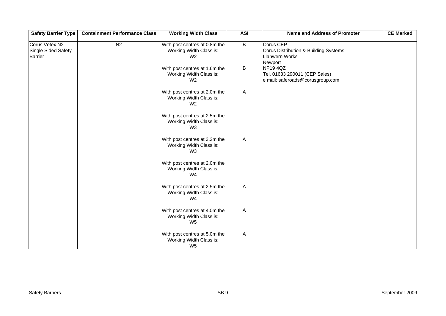| <b>Safety Barrier Type</b>                              | <b>Containment Performance Class</b> | <b>Working Width Class</b>                                                 | <b>ASI</b>     | Name and Address of Promoter                                                                  | <b>CE Marked</b> |
|---------------------------------------------------------|--------------------------------------|----------------------------------------------------------------------------|----------------|-----------------------------------------------------------------------------------------------|------------------|
| Corus Vetex N2<br>Single Sided Safety<br><b>Barrier</b> | N <sub>2</sub>                       | With post centres at 0.8m the<br>Working Width Class is:<br>W <sub>2</sub> | $\overline{B}$ | <b>Corus CEP</b><br>Corus Distribution & Building Systems<br><b>Llanwern Works</b><br>Newport |                  |
|                                                         |                                      | With post centres at 1.6m the<br>Working Width Class is:<br>W <sub>2</sub> | B              | <b>NP194QZ</b><br>Tel. 01633 290011 (CEP Sales)<br>e mail: saferoads@corusgroup.com           |                  |
|                                                         |                                      | With post centres at 2.0m the<br>Working Width Class is:<br>W <sub>2</sub> | A              |                                                                                               |                  |
|                                                         |                                      | With post centres at 2.5m the<br>Working Width Class is:<br>W <sub>3</sub> |                |                                                                                               |                  |
|                                                         |                                      | With post centres at 3.2m the<br>Working Width Class is:<br>W <sub>3</sub> | A              |                                                                                               |                  |
|                                                         |                                      | With post centres at 2.0m the<br>Working Width Class is:<br>W4             |                |                                                                                               |                  |
|                                                         |                                      | With post centres at 2.5m the<br>Working Width Class is:<br>W <sub>4</sub> | A              |                                                                                               |                  |
|                                                         |                                      | With post centres at 4.0m the<br>Working Width Class is:<br>W <sub>5</sub> | A              |                                                                                               |                  |
|                                                         |                                      | With post centres at 5.0m the<br>Working Width Class is:<br>W <sub>5</sub> | Α              |                                                                                               |                  |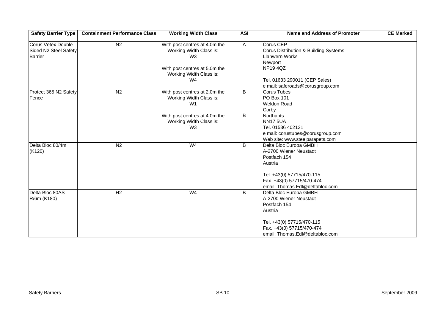| <b>Safety Barrier Type</b>                                           | <b>Containment Performance Class</b> | <b>Working Width Class</b>                                                                                                                   | <b>ASI</b>     | <b>Name and Address of Promoter</b>                                                                                                                                           | <b>CE Marked</b> |
|----------------------------------------------------------------------|--------------------------------------|----------------------------------------------------------------------------------------------------------------------------------------------|----------------|-------------------------------------------------------------------------------------------------------------------------------------------------------------------------------|------------------|
| <b>Corus Vetex Double</b><br>Sided N2 Steel Safety<br><b>Barrier</b> | N2                                   | With post centres at 4.0m the<br>Working Width Class is:<br>W <sub>3</sub><br>With post centres at 5.0m the<br>Working Width Class is:<br>W4 | $\overline{A}$ | Corus CEP<br>Corus Distribution & Building Systems<br><b>Llanwern Works</b><br>Newport<br><b>NP194QZ</b><br>Tel. 01633 290011 (CEP Sales)<br>e mail: saferoads@corusgroup.com |                  |
| Protect 365 N2 Safety<br>Fence                                       | N <sub>2</sub>                       | With post centres at 2.0m the<br>Working Width Class is:<br>W <sub>1</sub>                                                                   | B              | <b>Corus Tubes</b><br><b>PO Box 101</b><br><b>Weldon Road</b><br>Corby                                                                                                        |                  |
|                                                                      |                                      | With post centres at 4.0m the<br>Working Width Class is:<br>W <sub>3</sub>                                                                   | B              | Northants<br><b>NN17 5UA</b><br>Tel. 01536 402121<br>e mail: corustubes@corusgroup.com<br>Web site: www.steelparapets.com                                                     |                  |
| Delta Bloc 80/4m<br>(K120)                                           | N <sub>2</sub>                       | W <sub>4</sub>                                                                                                                               | B              | Delta Bloc Europa GMBH<br>A-2700 Wiener Neustadt<br>Postfach 154<br>Austria<br>Tel. +43(0) 57715/470-115<br>Fax. +43(0) 57715/470-474<br>email: Thomas.Edl@deltabloc.com      |                  |
| Delta Bloc 80AS-<br>R/6m (K180)                                      | H2                                   | W <sub>4</sub>                                                                                                                               | B              | Delta Bloc Europa GMBH<br>A-2700 Wiener Neustadt<br>Postfach 154<br>Austria<br>Tel. +43(0) 57715/470-115<br>Fax. +43(0) 57715/470-474<br>email: Thomas.Edl@deltabloc.com      |                  |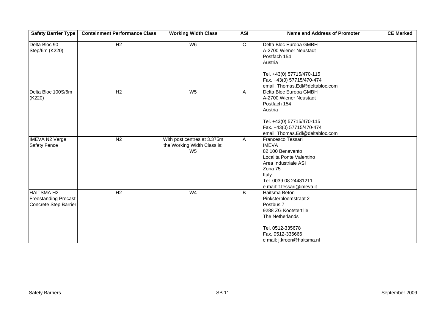| <b>Safety Barrier Type</b>                                                | <b>Containment Performance Class</b> | <b>Working Width Class</b>                                                   | <b>ASI</b>     | <b>Name and Address of Promoter</b>                                                                                                                                                  | <b>CE Marked</b> |
|---------------------------------------------------------------------------|--------------------------------------|------------------------------------------------------------------------------|----------------|--------------------------------------------------------------------------------------------------------------------------------------------------------------------------------------|------------------|
| Delta Bloc 90<br>Step/6m (K220)                                           | H <sub>2</sub>                       | W6                                                                           | $\overline{c}$ | Delta Bloc Europa GMBH<br>A-2700 Wiener Neustadt<br>Postfach 154<br>Austria                                                                                                          |                  |
|                                                                           |                                      |                                                                              |                | Tel. +43(0) 57715/470-115<br>Fax. +43(0) 57715/470-474<br>email: Thomas.Edl@deltabloc.com                                                                                            |                  |
| Delta Bloc 100S/6m<br>(K220)                                              | H <sub>2</sub>                       | W <sub>5</sub>                                                               | A              | Delta Bloc Europa GMBH<br>A-2700 Wiener Neustadt<br>Postfach 154<br>Austria                                                                                                          |                  |
|                                                                           |                                      |                                                                              |                | Tel. +43(0) 57715/470-115<br>Fax. +43(0) 57715/470-474<br>email: Thomas.Edl@deltabloc.com                                                                                            |                  |
| <b>IMEVA N2 Verge</b><br><b>Safety Fence</b>                              | N <sub>2</sub>                       | With post centres at 3.375m<br>the Working Width Class is:<br>W <sub>5</sub> | $\overline{A}$ | Francesco Tessari<br><b>IMEVA</b><br>82 100 Benevento<br>Localita Ponte Valentino<br>Area Industriale ASI<br>Zona 75<br>Italy<br>Tel. 0039 08 24481211<br>e mail: f.tessari@imeva.it |                  |
| <b>HAITSMA H2</b><br><b>Freestanding Precast</b><br>Concrete Step Barrier | H <sub>2</sub>                       | W <sub>4</sub>                                                               | B              | Haitsma Beton<br>Pinksterbloemstraat 2<br>Postbus 7<br>9288 ZG Kootstertille<br>The Netherlands<br>Tel. 0512-335678<br>Fax. 0512-335666<br>e mail: j.kroon@haitsma.nl                |                  |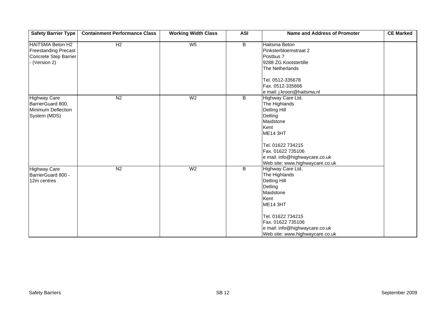| <b>Safety Barrier Type</b>                                                                     | <b>Containment Performance Class</b> | <b>Working Width Class</b> | <b>ASI</b>     | Name and Address of Promoter                                                                                                                                                                                                | <b>CE Marked</b> |
|------------------------------------------------------------------------------------------------|--------------------------------------|----------------------------|----------------|-----------------------------------------------------------------------------------------------------------------------------------------------------------------------------------------------------------------------------|------------------|
| <b>HAITSMA Beton H2</b><br><b>Freestanding Precast</b><br>Concrete Step Barrier<br>(Version 2) | H <sub>2</sub>                       | W <sub>5</sub>             | $\overline{B}$ | Haitsma Beton<br>Pinksterbloemstraat 2<br>Postbus 7<br>9288 ZG Kootstertille<br>The Netherlands<br>Tel. 0512-335678<br>Fax. 0512-335666<br>e mail: j.kroon@haitsma.nl                                                       |                  |
| <b>Highway Care</b><br>BarrierGuard 800,<br>Minimum Deflection<br>System (MDS)                 | N <sub>2</sub>                       | W <sub>2</sub>             | $\overline{B}$ | Highway Care Ltd.<br>The Highlands<br><b>Detling Hill</b><br>Detling<br>Maidstone<br>Kent<br><b>ME14 3HT</b><br>Tel. 01622 734215<br>Fax. 01622 735106<br>e mail: info@highwaycare.co.uk<br>Web site: www.highwaycare.co.uk |                  |
| <b>Highway Care</b><br>BarrierGuard 800 -<br>12m centres                                       | N <sub>2</sub>                       | W <sub>2</sub>             | B              | Highway Care Ltd.<br>The Highlands<br><b>Detling Hill</b><br>Detling<br>Maidstone<br>Kent<br><b>ME14 3HT</b><br>Tel. 01622 734215<br>Fax. 01622 735106<br>e mail: info@highwaycare.co.uk<br>Web site: www.highwaycare.co.uk |                  |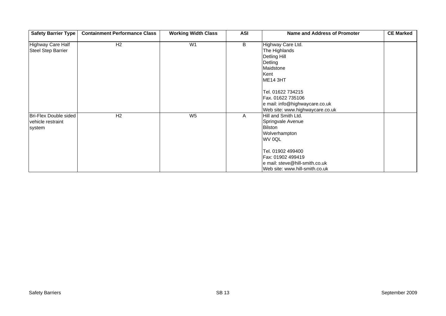| Safety Barrier Type                                  | <b>Containment Performance Class</b> | <b>Working Width Class</b> | <b>ASI</b> | <b>Name and Address of Promoter</b>                                                                                        | <b>CE Marked</b> |
|------------------------------------------------------|--------------------------------------|----------------------------|------------|----------------------------------------------------------------------------------------------------------------------------|------------------|
| <b>Highway Care Half</b><br>Steel Step Barrier       | H <sub>2</sub>                       | W <sub>1</sub>             | B          | Highway Care Ltd.<br>The Highlands<br>Detling Hill<br>Detling<br>Maidstone<br>Kent<br><b>ME14 3HT</b><br>Tel. 01622 734215 |                  |
|                                                      |                                      |                            |            | Fax. 01622 735106<br>e mail: info@highwaycare.co.uk<br>Web site: www.highwaycare.co.uk                                     |                  |
| Bri-Flex Double sided<br>vehicle restraint<br>system | H <sub>2</sub>                       | W <sub>5</sub>             | A          | Hill and Smith Ltd.<br>Springvale Avenue<br><b>Bilston</b><br>Wolverhampton<br>WV 0QL                                      |                  |
|                                                      |                                      |                            |            | Tel. 01902 499400<br>Fax: 01902 499419<br>e mail: steve@hill-smith.co.uk<br>Web site: www.hill-smith.co.uk                 |                  |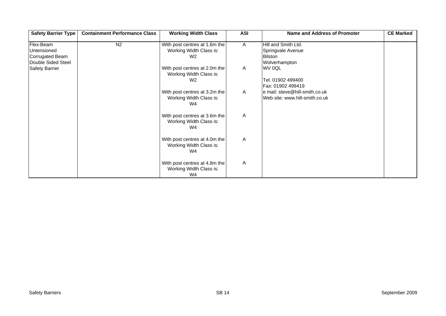| <b>Safety Barrier Type</b>                                        | <b>Containment Performance Class</b> | <b>Working Width Class</b>                                                 | <b>ASI</b>   | <b>Name and Address of Promoter</b>                                         | <b>CE Marked</b> |
|-------------------------------------------------------------------|--------------------------------------|----------------------------------------------------------------------------|--------------|-----------------------------------------------------------------------------|------------------|
| Flex-Beam<br>Untensioned<br>Corrugated Beam<br>Double Sided Steel | N <sub>2</sub>                       | With post centres at 1.6m the<br>Working Width Class is:<br>W <sub>2</sub> | $\mathsf{A}$ | Hill and Smith Ltd.<br>Springvale Avenue<br><b>Bilston</b><br>Wolverhampton |                  |
| <b>Safety Barrier</b>                                             |                                      | With post centres at 2.0m the<br>Working Width Class is:<br>W <sub>2</sub> | $\mathsf{A}$ | WV 0QL<br>Tel. 01902 499400<br>Fax: 01902 499419                            |                  |
|                                                                   |                                      | With post centres at 3.2m the<br>Working Width Class is:<br>W4             | $\mathsf{A}$ | e mail: steve@hill-smith.co.uk<br>Web site: www.hill-smith.co.uk            |                  |
|                                                                   |                                      | With post centres at 3.6m the<br>Working Width Class is:<br>W4             | A            |                                                                             |                  |
|                                                                   |                                      | With post centres at 4.0m the<br>Working Width Class is:<br>W <sub>4</sub> | A            |                                                                             |                  |
|                                                                   |                                      | With post centres at 4.8m the<br>Working Width Class is:<br>W <sub>4</sub> | A            |                                                                             |                  |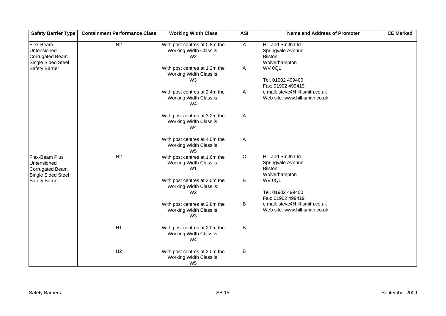| <b>Safety Barrier Type</b>                                                    | <b>Containment Performance Class</b> | <b>Working Width Class</b>                                                 | <b>ASI</b>     | <b>Name and Address of Promoter</b>                                         | <b>CE Marked</b> |
|-------------------------------------------------------------------------------|--------------------------------------|----------------------------------------------------------------------------|----------------|-----------------------------------------------------------------------------|------------------|
| Flex-Beam<br>Untensioned<br><b>Corrugated Beam</b><br>Single Sided Steel      | N <sub>2</sub>                       | With post centres at 0.8m the<br>Working Width Class is:<br>W <sub>2</sub> | $\overline{A}$ | Hill and Smith Ltd.<br>Springvale Avenue<br><b>Bilston</b><br>Wolverhampton |                  |
| <b>Safety Barrier</b>                                                         |                                      | With post centres at 1.2m the<br>Working Width Class is:<br>W3             | A              | WV 0QL<br>Tel. 01902 499400<br>Fax: 01902 499419                            |                  |
|                                                                               |                                      | With post centres at 2.4m the<br>Working Width Class is:<br>W4             | $\mathsf{A}$   | e mail: steve@hill-smith.co.uk<br>Web site: www.hill-smith.co.uk            |                  |
|                                                                               |                                      | With post centres at 3.2m the<br>Working Width Class is:<br>W4             | $\mathsf{A}$   |                                                                             |                  |
|                                                                               |                                      | With post centres at 4.0m the<br>Working Width Class is:<br>W <sub>5</sub> | A              |                                                                             |                  |
| Flex-Beam Plus<br>Untensioned<br><b>Corrugated Beam</b><br>Single Sided Steel | N <sub>2</sub>                       | With post centres at 1.6m the<br>Working Width Class is:<br>W <sub>1</sub> | $\overline{c}$ | Hill and Smith Ltd.<br>Springvale Avenue<br><b>Bilston</b><br>Wolverhampton |                  |
| <b>Safety Barrier</b>                                                         |                                      | With post centres at 2.0m the<br>Working Width Class is:<br>W <sub>2</sub> | B              | WV 0QL<br>Tel. 01902 499400<br>Fax: 01902 499419                            |                  |
|                                                                               |                                      | With post centres at 2.8m the<br>Working Width Class is:<br>W <sub>3</sub> | B              | e mail: steve@hill-smith.co.uk<br>Web site: www.hill-smith.co.uk            |                  |
|                                                                               | H1                                   | With post centres at 2.0m the<br>Working Width Class is:<br>W4             | B              |                                                                             |                  |
|                                                                               | H2                                   | With post centres at 2.0m the<br>Working Width Class is:<br>W <sub>5</sub> | B              |                                                                             |                  |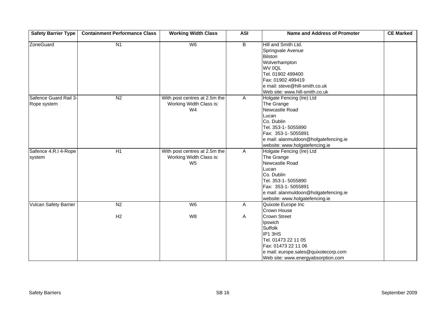| <b>Safety Barrier Type</b>           | <b>Containment Performance Class</b> | <b>Working Width Class</b>                                                 | <b>ASI</b>     | <b>Name and Address of Promoter</b>                                                                                                                                                                                   | <b>CE Marked</b> |
|--------------------------------------|--------------------------------------|----------------------------------------------------------------------------|----------------|-----------------------------------------------------------------------------------------------------------------------------------------------------------------------------------------------------------------------|------------------|
| ZoneGuard                            | N <sub>1</sub>                       | W <sub>6</sub>                                                             | $\overline{B}$ | Hill and Smith Ltd.<br>Springvale Avenue<br><b>Bilston</b><br>Wolverhampton<br>WV 0QL<br>Tel. 01902 499400<br>Fax: 01902 499419<br>e mail: steve@hill-smith.co.uk<br>Web site: www.hill-smith.co.uk                   |                  |
| Safence Guard Rail 3-<br>Rope system | N <sub>2</sub>                       | With post centres at 2.5m the<br>Working Width Class is:<br>W <sub>4</sub> | A              | Holgate Fencing (Ire) Ltd<br>The Grange<br>Newcastle Road<br>Lucan<br>Co. Dublin<br>Tel. 353-1-5055890<br>Fax: 353-1-5055891<br>e mail: alanmuldoon@holgatefencing.ie<br>website: www.holgatefencing.ie               |                  |
| Safence 4.R.I 4-Rope<br>system       | H1                                   | With post centres at 2.5m the<br>Working Width Class is:<br>W <sub>5</sub> | $\overline{A}$ | Holgate Fencing (Ire) Ltd<br>The Grange<br>Newcastle Road<br>Lucan<br>Co. Dublin<br>Tel. 353-1-5055890<br>Fax: 353-1-5055891<br>e mail: alanmuldoon@holgatefencing.ie<br>website: www.holgatefencing.ie               |                  |
| <b>Vulcan Safety Barrier</b>         | N <sub>2</sub><br>H2                 | W <sub>6</sub><br>W8                                                       | A<br>A         | Quixote Europe Inc<br>Crown House<br><b>Crown Street</b><br>Ipswich<br>Suffolk<br>IP1 3HS<br>Tel. 01473 22 11 05<br>Fax: 01473 22 11 06<br>e mail: europe.sales@quixotecorp.com<br>Web site: www.energyabsorption.com |                  |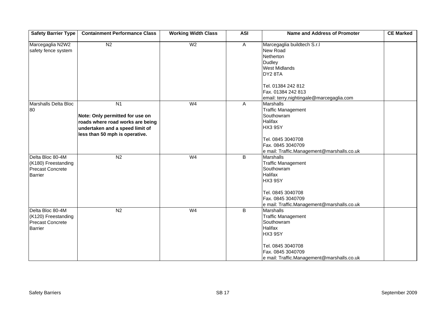| <b>Safety Barrier Type</b>                                                           | <b>Containment Performance Class</b>                                                                                                                       | <b>Working Width Class</b> | <b>ASI</b>     | <b>Name and Address of Promoter</b>                                                                                                                                                             | <b>CE Marked</b> |
|--------------------------------------------------------------------------------------|------------------------------------------------------------------------------------------------------------------------------------------------------------|----------------------------|----------------|-------------------------------------------------------------------------------------------------------------------------------------------------------------------------------------------------|------------------|
| Marcegaglia N2W2<br>safety fence system                                              | N <sub>2</sub>                                                                                                                                             | W <sub>2</sub>             | $\overline{A}$ | Marcegaglia buildtech S.r.l<br>New Road<br>Netherton<br><b>Dudley</b><br><b>West Midlands</b><br>DY28TA<br>Tel. 01384 242 812<br>Fax. 01384 242 813<br>email: terry.nightingale@marcegaglia.com |                  |
| Marshalls Delta Bloc<br>80                                                           | N <sub>1</sub><br>Note: Only permitted for use on<br>roads where road works are being<br>undertaken and a speed limit of<br>less than 50 mph is operative. | W <sub>4</sub>             | Α              | <b>Marshalls</b><br><b>Traffic Management</b><br>Southowram<br><b>Halifax</b><br>HX3 9SY<br>Tel. 0845 3040708<br>Fax. 0845 3040709<br>e mail: Traffic.Management@marshalls.co.uk                |                  |
| Delta Bloc 80-4M<br>(K180) Freestanding<br><b>Precast Concrete</b><br><b>Barrier</b> | N <sub>2</sub>                                                                                                                                             | W <sub>4</sub>             | $\overline{B}$ | <b>Marshalls</b><br><b>Traffic Management</b><br>Southowram<br><b>Halifax</b><br>HX3 9SY<br>Tel. 0845 3040708<br>Fax. 0845 3040709<br>e mail: Traffic.Management@marshalls.co.uk                |                  |
| Delta Bloc 80-4M<br>(K120) Freestanding<br><b>Precast Concrete</b><br><b>Barrier</b> | N <sub>2</sub>                                                                                                                                             | W <sub>4</sub>             | B              | <b>Marshalls</b><br><b>Traffic Management</b><br>Southowram<br>Halifax<br>HX3 9SY<br>Tel. 0845 3040708<br>Fax. 0845 3040709<br>e mail: Traffic.Management@marshalls.co.uk                       |                  |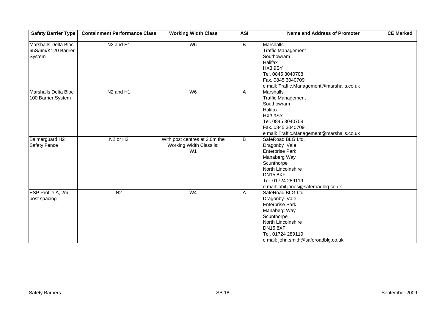| <b>Safety Barrier Type</b>                            | <b>Containment Performance Class</b> | <b>Working Width Class</b>                                                 | <b>ASI</b> | <b>Name and Address of Promoter</b>                                                                                                                                                                                            | <b>CE Marked</b> |
|-------------------------------------------------------|--------------------------------------|----------------------------------------------------------------------------|------------|--------------------------------------------------------------------------------------------------------------------------------------------------------------------------------------------------------------------------------|------------------|
| Marshalls Delta Bloc<br>65S/6m/K120 Barrier<br>System | N <sub>2</sub> and H <sub>1</sub>    | W6                                                                         | B          | Marshalls<br><b>Traffic Management</b><br>Southowram<br><b>Halifax</b><br>HX3 9SY<br>Tel. 0845 3040708<br>Fax. 0845 3040709                                                                                                    |                  |
| Marshalls Delta Bloc<br>100 Barrier System            | N <sub>2</sub> and H <sub>1</sub>    | W6                                                                         | A          | e mail: Traffic.Management@marshalls.co.uk<br><b>Marshalls</b><br><b>Traffic Management</b><br>Southowram<br><b>Halifax</b><br>HX3 9SY<br>Tel. 0845 3040708<br>Fax. 0845 3040709<br>e mail: Traffic.Management@marshalls.co.uk |                  |
| Balmerguard H2<br><b>Safety Fence</b>                 | N <sub>2</sub> or H <sub>2</sub>     | With post centres at 2.0m the<br>Working Width Class is:<br>W <sub>1</sub> | B          | SafeRoad BLG Ltd.<br>Dragonby Vale<br><b>Enterprise Park</b><br>Manaberg Way<br>Scunthorpe<br>North Lincolnshire<br><b>DN15 8XF</b><br>Tel. 01724 289119<br>e mail: phil.jones@saferoadblg.co.uk                               |                  |
| ESP Profile A, 2m<br>post spacing                     | N <sub>2</sub>                       | W <sub>4</sub>                                                             | A          | SafeRoad BLG Ltd.<br>Dragonby Vale<br><b>Enterprise Park</b><br>Manaberg Way<br>Scunthorpe<br>North Lincolnshire<br><b>DN15 8XF</b><br>Tel. 01724 289119<br>e mail: john.smith@saferoadblg.co.uk                               |                  |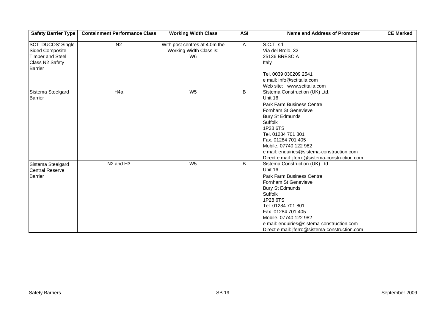| <b>Safety Barrier Type</b>                                                                                          | <b>Containment Performance Class</b> | <b>Working Width Class</b>                                     | <b>ASI</b>     | <b>Name and Address of Promoter</b>                                                                                                                                                                                                                                                                                         | <b>CE Marked</b> |
|---------------------------------------------------------------------------------------------------------------------|--------------------------------------|----------------------------------------------------------------|----------------|-----------------------------------------------------------------------------------------------------------------------------------------------------------------------------------------------------------------------------------------------------------------------------------------------------------------------------|------------------|
| <b>SCT 'DUCOS' Single</b><br><b>Sided Composite</b><br><b>Timber and Steel</b><br>Class N2 Safety<br><b>Barrier</b> | N <sub>2</sub>                       | With post centres at 4.0m the<br>Working Width Class is:<br>W6 | $\overline{A}$ | S.C.T. srl<br>Via del Brolo, 32<br>25136 BRESCIA<br>Italy<br>Tel. 0039 030209 2541<br>e mail: info@sctitalia.com<br>Web site: www.sctitalia.com                                                                                                                                                                             |                  |
| Sistema Steelgard<br><b>Barrier</b>                                                                                 | H <sub>4a</sub>                      | $W_5$                                                          | B              | Sistema Construction (UK) Ltd.<br>Unit 16<br>Park Farm Business Centre<br>Fornham St Genevieve<br><b>Bury St Edmunds</b><br><b>Suffolk</b><br>1P28 6TS<br>Tel. 01284 701 801<br>Fax. 01284 701 405<br>Mobile. 07740 122 982<br>e mail: enquiries@sistema-construction.com<br>Direct e mail: jferro@sistema-construction.com |                  |
| Sistema Steelgard<br><b>Central Reserve</b><br><b>Barrier</b>                                                       | N <sub>2</sub> and H <sub>3</sub>    | W <sub>5</sub>                                                 | B              | Sistema Construction (UK) Ltd.<br>Unit 16<br><b>Park Farm Business Centre</b><br>Fornham St Genevieve<br><b>Bury St Edmunds</b><br>Suffolk<br>1P28 6TS<br>Tel. 01284 701 801<br>Fax. 01284 701 405<br>Mobile. 07740 122 982<br>e mail: enquiries@sistema-construction.com<br>Direct e mail: jferro@sistema-construction.com |                  |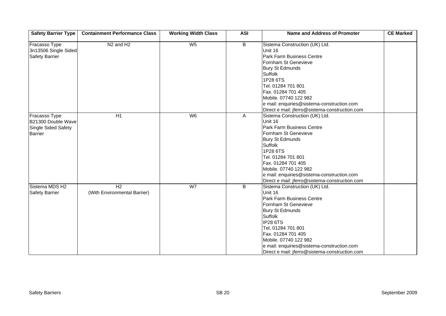| <b>Safety Barrier Type</b>                                            | <b>Containment Performance Class</b>           | <b>Working Width Class</b> | <b>ASI</b>     | <b>Name and Address of Promoter</b>                                                                                                                                                                                                                                                                                         | <b>CE Marked</b> |
|-----------------------------------------------------------------------|------------------------------------------------|----------------------------|----------------|-----------------------------------------------------------------------------------------------------------------------------------------------------------------------------------------------------------------------------------------------------------------------------------------------------------------------------|------------------|
| Fracasso Type<br>3n13506 Single Sided<br><b>Safety Barrier</b>        | N <sub>2</sub> and H <sub>2</sub>              | W <sub>5</sub>             | $\overline{B}$ | Sistema Construction (UK) Ltd.<br>Unit 16<br>Park Farm Business Centre<br>Fornham St Genevieve<br><b>Bury St Edmunds</b><br>Suffolk<br>1P28 6TS<br>Tel. 01284 701 801<br>Fax. 01284 701 405<br>Mobile. 07740 122 982<br>e mail: enquiries@sistema-construction.com<br>Direct e mail: jferro@sistema-construction.com        |                  |
| Fracasso Type<br>B21300 Double Wave<br>Single Sided Safety<br>Barrier | $\overline{H1}$                                | W6                         | A              | Sistema Construction (UK) Ltd.<br>Unit 16<br>Park Farm Business Centre<br>Fornham St Genevieve<br><b>Bury St Edmunds</b><br>Suffolk<br>1P28 6TS<br>Tel. 01284 701 801<br>Fax. 01284 701 405<br>Mobile. 07740 122 982<br>e mail: enquiries@sistema-construction.com<br>Direct e mail: jferro@sistema-construction.com        |                  |
| Sistema MDS H2<br><b>Safety Barrier</b>                               | H <sub>2</sub><br>(With Environmental Barrier) | W <sub>7</sub>             | B              | Sistema Construction (UK) Ltd.<br>Unit 16<br>Park Farm Business Centre<br>Fornham St Genevieve<br><b>Bury St Edmunds</b><br>Suffolk<br><b>IP28 6TS</b><br>Tel. 01284 701 801<br>Fax. 01284 701 405<br>Mobile. 07740 122 982<br>e mail: enquiries@sistema-construction.com<br>Direct e mail: jferro@sistema-construction.com |                  |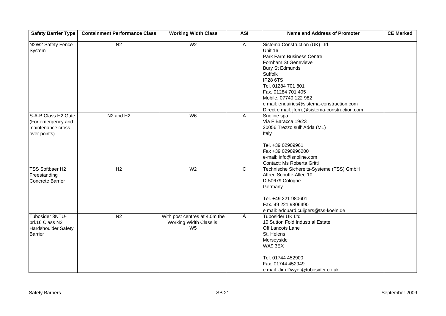| <b>Safety Barrier Type</b>                                                     | <b>Containment Performance Class</b> | <b>Working Width Class</b>                                                 | <b>ASI</b>              | <b>Name and Address of Promoter</b>                                                                                                                                                                                                                                                                                         | <b>CE Marked</b> |
|--------------------------------------------------------------------------------|--------------------------------------|----------------------------------------------------------------------------|-------------------------|-----------------------------------------------------------------------------------------------------------------------------------------------------------------------------------------------------------------------------------------------------------------------------------------------------------------------------|------------------|
| N2W2 Safety Fence<br>System                                                    | N <sub>2</sub>                       | W <sub>2</sub>                                                             | $\overline{A}$          | Sistema Construction (UK) Ltd.<br>Unit 16<br>Park Farm Business Centre<br>Fornham St Genevieve<br><b>Bury St Edmunds</b><br>Suffolk<br><b>IP28 6TS</b><br>Tel. 01284 701 801<br>Fax. 01284 701 405<br>Mobile. 07740 122 982<br>e mail: enquiries@sistema-construction.com<br>Direct e mail: jferro@sistema-construction.com |                  |
| S-A-B Class H2 Gate<br>(For emergency and<br>maintenance cross<br>over points) | N <sub>2</sub> and H <sub>2</sub>    | W <sub>6</sub>                                                             | A                       | Snoline spa<br>Via F Baracca 19/23<br>20056 Trezzo sull' Adda (M1)<br>Italy<br>Tel. +39 02909961<br>Fax +39 0290996200<br>e-mail: info@snoline.com<br>Contact: Ms Roberta Gritti                                                                                                                                            |                  |
| <b>TSS Softbaer H2</b><br>Freestanding<br><b>Concrete Barrier</b>              | $\overline{H2}$                      | W <sub>2</sub>                                                             | $\overline{\mathsf{c}}$ | Technische Sichereits-Systeme (TSS) GmbH<br>Alfred Schutte-Allee 10<br>D-50679 Cologne<br>Germany<br>Tel. +49 221 980601<br>Fax. 49 221 9806490<br>e mail: edouard.cuijpers@tss-koeln.de                                                                                                                                    |                  |
| Tubosider 3NTU-<br>brl.16 Class N2<br>Hardshoulder Safety<br><b>Barrier</b>    | N <sub>2</sub>                       | With post centres at 4.0m the<br>Working Width Class is:<br>W <sub>5</sub> | A                       | Tubosider UK Ltd<br>10 Sutton Fold Industrial Estate<br>Off Lancots Lane<br>St. Helens<br>Merseyside<br>WA9 3EX<br>Tel. 01744 452900<br>Fax. 01744 452949<br>e mail: Jim.Dwyer@tubosider.co.uk                                                                                                                              |                  |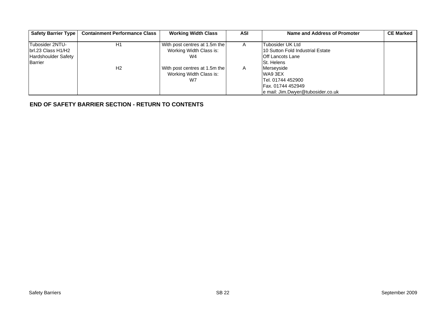| Safety Barrier Type                                                            | <b>Containment Performance Class</b> | <b>Working Width Class</b>                                     | <b>ASI</b>     | Name and Address of Promoter                                                                         | <b>CE Marked</b> |
|--------------------------------------------------------------------------------|--------------------------------------|----------------------------------------------------------------|----------------|------------------------------------------------------------------------------------------------------|------------------|
| Tubosider 2NTU-<br>brl.23 Class H1/H2<br><b>Hardshoulder Safety</b><br>Barrier | H1                                   | With post centres at 1.5m the<br>Working Width Class is:<br>W4 | $\overline{A}$ | Tubosider UK Ltd<br>10 Sutton Fold Industrial Estate<br><b>Off Lancots Lane</b><br><b>St. Helens</b> |                  |
|                                                                                | H <sub>2</sub>                       | With post centres at 1.5m the<br>Working Width Class is:<br>W7 | A              | Merseyside<br>WA9 3EX<br>Tel. 01744 452900<br>Fax. 01744 452949<br>e mail: Jim.Dwyer@tubosider.co.uk |                  |

**[END OF SAFETY BARRIER SECTION - RETURN TO CONTENTS](#page-0-0)**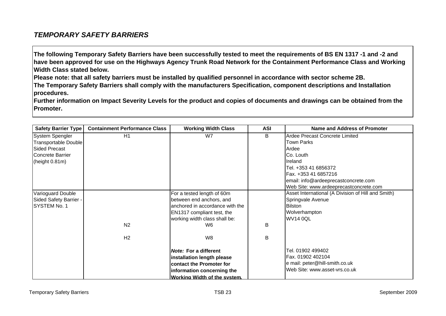## <span id="page-24-0"></span>*TEMPORARY SAFETY BARRIERS*

**The following Temporary Safety Barriers have been successfully tested to meet the requirements of BS EN 1317 -1 and -2 and have been approved for use on the Highways Agency Trunk Road Network for the Containment Performance Class and Working Width Class stated below.** 

**Please note: that all safety barriers must be installed by qualified personnel in accordance with sector scheme 2B.** 

**The Temporary Safety Barriers shall comply with the manufacturers Specification, component descriptions and Installation procedures.** 

**Further information on Impact Severity Levels for the product and copies of documents and drawings can be obtained from the Promoter.**

| <b>Safety Barrier Type</b> | <b>Containment Performance Class</b> | <b>Working Width Class</b>       | <b>ASI</b> | Name and Address of Promoter                       |
|----------------------------|--------------------------------------|----------------------------------|------------|----------------------------------------------------|
| System Spengler            | H1                                   | W7                               | B.         | Ardee Precast Concrete Limited                     |
| Transportable Double       |                                      |                                  |            | <b>Town Parks</b>                                  |
| Sided Precast              |                                      |                                  |            | Ardee                                              |
| Concrete Barrier           |                                      |                                  |            | Co. Louth                                          |
| (height 0.81m)             |                                      |                                  |            | Ireland                                            |
|                            |                                      |                                  |            | Tel. +353 41 6856372                               |
|                            |                                      |                                  |            | Fax. +353 41 6857216                               |
|                            |                                      |                                  |            | email: info@ardeeprecastconcrete.com               |
|                            |                                      |                                  |            | Web Site: www.ardeeprecastconcrete.com             |
| Varioguard Double          |                                      | For a tested length of 60m       |            | Asset International (A Division of Hill and Smith) |
| Sided Safety Barrier -     |                                      | between end anchors, and         |            | Springvale Avenue                                  |
| <b>SYSTEM No. 1</b>        |                                      | lanchored in accordance with the |            | <b>Bilston</b>                                     |
|                            |                                      | EN1317 compliant test, the       |            | Wolverhampton                                      |
|                            |                                      | working width class shall be:    |            | <b>WV14 0QL</b>                                    |
|                            | N <sub>2</sub>                       | W6                               | B          |                                                    |
|                            | H <sub>2</sub>                       | W8                               | B          |                                                    |
|                            |                                      | <b>Note: For a different</b>     |            | Tel. 01902 499402                                  |
|                            |                                      | installation length please       |            | Fax. 01902 402104                                  |
|                            |                                      | contact the Promoter for         |            | e mail: peter@hill-smith.co.uk                     |
|                            |                                      | information concerning the       |            | Web Site: www.asset-vrs.co.uk                      |
|                            |                                      | Working Width of the system.     |            |                                                    |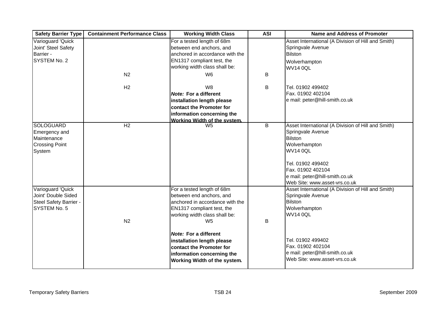| <b>Safety Barrier Type</b>                                                          | <b>Containment Performance Class</b> | <b>Working Width Class</b>                                                                                                                                                 | <b>ASI</b> | <b>Name and Address of Promoter</b>                                                                                                                                                                                                        |
|-------------------------------------------------------------------------------------|--------------------------------------|----------------------------------------------------------------------------------------------------------------------------------------------------------------------------|------------|--------------------------------------------------------------------------------------------------------------------------------------------------------------------------------------------------------------------------------------------|
| Varioguard 'Quick<br>Joint' Steel Safety<br>Barrier -<br>SYSTEM No. 2               |                                      | For a tested length of 68m<br>between end anchors, and<br>anchored in accordance with the<br>EN1317 compliant test, the<br>working width class shall be:                   |            | Asset International (A Division of Hill and Smith)<br>Springvale Avenue<br><b>Bilston</b><br>Wolverhampton<br><b>WV14 0QL</b>                                                                                                              |
|                                                                                     | N <sub>2</sub>                       | W <sub>6</sub>                                                                                                                                                             | B          |                                                                                                                                                                                                                                            |
|                                                                                     | H <sub>2</sub>                       | W8<br><b>Note: For a different</b><br>installation length please<br>contact the Promoter for<br>information concerning the                                                 | B          | Tel. 01902 499402<br>Fax. 01902 402104<br>e mail: peter@hill-smith.co.uk                                                                                                                                                                   |
| <b>SOLOGUARD</b><br>Emergency and<br>Maintenance<br><b>Crossing Point</b><br>System | H <sub>2</sub>                       | Working Width of the system.<br>W <sub>5</sub>                                                                                                                             | B          | Asset International (A Division of Hill and Smith)<br>Springvale Avenue<br><b>Bilston</b><br>Wolverhampton<br><b>WV14 0QL</b><br>Tel. 01902 499402<br>Fax. 01902 402104<br>e mail: peter@hill-smith.co.uk<br>Web Site: www.asset-vrs.co.uk |
| Varioguard 'Quick<br>Joint' Double Sided<br>Steel Safety Barrier -<br>SYSTEM No. 5  | N <sub>2</sub>                       | For a tested length of 68m<br>between end anchors, and<br>anchored in accordance with the<br>EN1317 compliant test, the<br>working width class shall be:<br>W <sub>5</sub> | B          | Asset International (A Division of Hill and Smith)<br>Springvale Avenue<br><b>Bilston</b><br>Wolverhampton<br><b>WV14 0QL</b>                                                                                                              |
|                                                                                     |                                      | <b>Note: For a different</b><br>installation length please<br>contact the Promoter for<br>information concerning the<br>Working Width of the system.                       |            | Tel. 01902 499402<br>Fax. 01902 402104<br>e mail: peter@hill-smith.co.uk<br>Web Site: www.asset-vrs.co.uk                                                                                                                                  |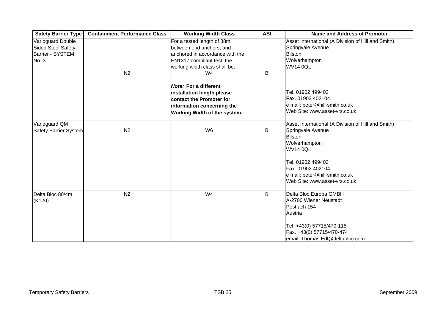| <b>Safety Barrier Type</b>                                                  | <b>Containment Performance Class</b> | <b>Working Width Class</b>                                                                                                                                      | <b>ASI</b> | <b>Name and Address of Promoter</b>                                                                                                                                                                                                        |
|-----------------------------------------------------------------------------|--------------------------------------|-----------------------------------------------------------------------------------------------------------------------------------------------------------------|------------|--------------------------------------------------------------------------------------------------------------------------------------------------------------------------------------------------------------------------------------------|
| Varioguard Double<br>Sided Steel Safety<br><b>Barrier - SYSTEM</b><br>No. 3 | N <sub>2</sub>                       | For a tested length of 88m<br>between end anchors, and<br>lanchored in accordance with the<br>EN1317 compliant test, the<br>working width class shall be:<br>W4 | B          | Asset International (A Division of Hill and Smith)<br>Springvale Avenue<br><b>Bilston</b><br>Wolverhampton<br><b>WV14 0QL</b>                                                                                                              |
|                                                                             |                                      | <b>Note: For a different</b><br>installation length please<br><b>contact the Promoter for</b><br>information concerning the<br>Working Width of the system.     |            | Tel. 01902 499402<br>Fax. 01902 402104<br>e mail: peter@hill-smith.co.uk<br>Web Site: www.asset-vrs.co.uk                                                                                                                                  |
| Varioguard QM<br>Safety Barrier System                                      | N <sub>2</sub>                       | W <sub>6</sub>                                                                                                                                                  | B          | Asset International (A Division of Hill and Smith)<br>Springvale Avenue<br><b>Bilston</b><br>Wolverhampton<br><b>WV14 0QL</b><br>Tel. 01902 499402<br>Fax. 01902 402104<br>e mail: peter@hill-smith.co.uk<br>Web Site: www.asset-vrs.co.uk |
| Delta Bloc 80/4m<br>(K120)                                                  | N <sub>2</sub>                       | W <sub>4</sub>                                                                                                                                                  | B          | Delta Bloc Europa GMBH<br>A-2700 Wiener Neustadt<br>Postfach 154<br>Austria<br>Tel. +43(0) 57715/470-115<br>Fax. +43(0) 57715/470-474<br>email: Thomas.Edl@deltabloc.com                                                                   |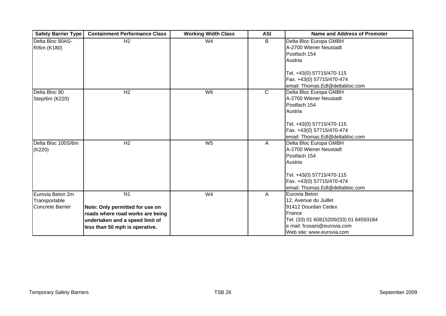| <b>Safety Barrier Type</b> | <b>Containment Performance Class</b> | <b>Working Width Class</b> | <b>ASI</b>   | <b>Name and Address of Promoter</b>    |
|----------------------------|--------------------------------------|----------------------------|--------------|----------------------------------------|
| Delta Bloc 80AS-           | $\overline{H2}$                      | W4                         | B            | Delta Bloc Europa GMBH                 |
| R/6m (K180)                |                                      |                            |              | A-2700 Wiener Neustadt                 |
|                            |                                      |                            |              | Postfach 154                           |
|                            |                                      |                            |              | Austria                                |
|                            |                                      |                            |              | Tel. +43(0) 57715/470-115              |
|                            |                                      |                            |              | Fax. +43(0) 57715/470-474              |
|                            |                                      |                            |              | email: Thomas.Edl@deltabloc.com        |
| Delta Bloc 90              | H <sub>2</sub>                       | W6                         | $\mathsf{C}$ | Delta Bloc Europa GMBH                 |
| Step/6m (K220)             |                                      |                            |              | A-2700 Wiener Neustadt                 |
|                            |                                      |                            |              | Postfach 154                           |
|                            |                                      |                            |              | Austria                                |
|                            |                                      |                            |              |                                        |
|                            |                                      |                            |              | Tel. +43(0) 57715/470-115              |
|                            |                                      |                            |              | Fax. +43(0) 57715/470-474              |
|                            |                                      |                            |              | email: Thomas.Edl@deltabloc.com        |
| Delta Bloc 100S/6m         | H <sub>2</sub>                       | W <sub>5</sub>             | A            | Delta Bloc Europa GMBH                 |
| (K220)                     |                                      |                            |              | A-2700 Wiener Neustadt                 |
|                            |                                      |                            |              | Postfach 154                           |
|                            |                                      |                            |              | Austria                                |
|                            |                                      |                            |              |                                        |
|                            |                                      |                            |              | Tel. +43(0) 57715/470-115              |
|                            |                                      |                            |              | Fax. +43(0) 57715/470-474              |
|                            |                                      |                            |              | email: Thomas.Edl@deltabloc.com        |
| Eurovia Beton 2m           | $\overline{N1}$                      | W <sub>4</sub>             | A            | Eurovia Beton                          |
| Transportable              |                                      |                            |              | 12, Avenue du Juillet                  |
| <b>Concrete Barrier</b>    | Note: Only permitted for use on      |                            |              | 91412 Dourdan Cedex                    |
|                            | roads where road works are being     |                            |              | France                                 |
|                            | undertaken and a speed limit of      |                            |              | Tel. (33) 01 60815200/(33) 01 64593184 |
|                            | less than 50 mph is operative.       |                            |              | e mail: fcosani@eurovia.com            |
|                            |                                      |                            |              | Web site: www.eurovia.com              |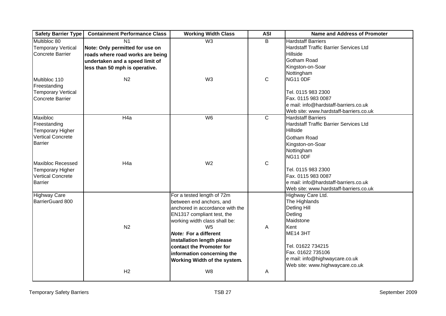| <b>Safety Barrier Type</b> | <b>Containment Performance Class</b> | <b>Working Width Class</b>      | <b>ASI</b>  | <b>Name and Address of Promoter</b>                                        |
|----------------------------|--------------------------------------|---------------------------------|-------------|----------------------------------------------------------------------------|
| Multibloc 80               | N <sub>1</sub>                       | W3                              | B           | <b>Hardstaff Barriers</b>                                                  |
| <b>Temporary Vertical</b>  | Note: Only permitted for use on      |                                 |             | <b>Hardstaff Traffic Barrier Services Ltd</b>                              |
| Concrete Barrier           | roads where road works are being     |                                 |             | Hillside                                                                   |
|                            | undertaken and a speed limit of      |                                 |             | Gotham Road                                                                |
|                            | less than 50 mph is operative.       |                                 |             | Kingston-on-Soar                                                           |
|                            |                                      |                                 |             | Nottingham                                                                 |
| Multibloc 110              | N <sub>2</sub>                       | W <sub>3</sub>                  | $\mathbf C$ | NG11 ODF                                                                   |
| Freestanding               |                                      |                                 |             |                                                                            |
| <b>Temporary Vertical</b>  |                                      |                                 |             | Tel. 0115 983 2300                                                         |
| <b>Concrete Barrier</b>    |                                      |                                 |             | Fax. 0115 983 0087                                                         |
|                            |                                      |                                 |             | e mail: info@hardstaff-barriers.co.uk                                      |
|                            |                                      |                                 |             | Web site: www.hardstaff-barriers.co.uk                                     |
| Maxibloc<br>Freestanding   | H <sub>4a</sub>                      | W <sub>6</sub>                  | $\mathbf C$ | <b>Hardstaff Barriers</b><br><b>Hardstaff Traffic Barrier Services Ltd</b> |
| <b>Temporary Higher</b>    |                                      |                                 |             | Hillside                                                                   |
| Vertical Concrete          |                                      |                                 |             | <b>Gotham Road</b>                                                         |
| <b>Barrier</b>             |                                      |                                 |             |                                                                            |
|                            |                                      |                                 |             | Kingston-on-Soar<br>Nottingham                                             |
|                            |                                      |                                 |             | NG11 ODF                                                                   |
| Maxibloc Recessed          | H <sub>4a</sub>                      | W <sub>2</sub>                  | C           |                                                                            |
| <b>Temporary Higher</b>    |                                      |                                 |             | Tel. 0115 983 2300                                                         |
| <b>Vertical Concrete</b>   |                                      |                                 |             | Fax. 0115 983 0087                                                         |
| <b>Barrier</b>             |                                      |                                 |             | e mail: info@hardstaff-barriers.co.uk                                      |
|                            |                                      |                                 |             | Web site: www.hardstaff-barriers.co.uk                                     |
| <b>Highway Care</b>        |                                      | For a tested length of 72m      |             | Highway Care Ltd.                                                          |
| BarrierGuard 800           |                                      | between end anchors, and        |             | The Highlands                                                              |
|                            |                                      | anchored in accordance with the |             | Detling Hill                                                               |
|                            |                                      | EN1317 compliant test, the      |             | Detling                                                                    |
|                            |                                      | working width class shall be:   |             | Maidstone                                                                  |
|                            | N <sub>2</sub>                       | W <sub>5</sub>                  | A           | Kent                                                                       |
|                            |                                      | <b>Note: For a different</b>    |             | <b>ME14 3HT</b>                                                            |
|                            |                                      | installation length please      |             |                                                                            |
|                            |                                      | contact the Promoter for        |             | Tel. 01622 734215                                                          |
|                            |                                      | information concerning the      |             | Fax. 01622 735106                                                          |
|                            |                                      | Working Width of the system.    |             | e mail: info@highwaycare.co.uk<br>Web site: www.highwaycare.co.uk          |
|                            | H2                                   | W8                              | A           |                                                                            |
|                            |                                      |                                 |             |                                                                            |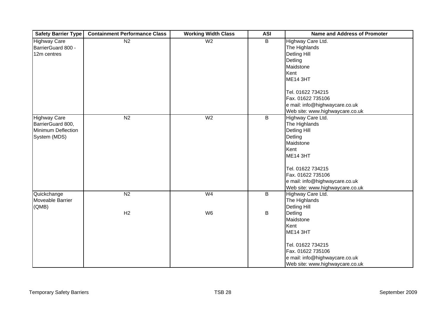| <b>Safety Barrier Type</b> | <b>Containment Performance Class</b> | <b>Working Width Class</b> | <b>ASI</b>     | <b>Name and Address of Promoter</b> |
|----------------------------|--------------------------------------|----------------------------|----------------|-------------------------------------|
| <b>Highway Care</b>        | N <sub>2</sub>                       | W <sub>2</sub>             | B              | Highway Care Ltd.                   |
| BarrierGuard 800 -         |                                      |                            |                | The Highlands                       |
| 12m centres                |                                      |                            |                | Detling Hill                        |
|                            |                                      |                            |                | Detling                             |
|                            |                                      |                            |                | Maidstone                           |
|                            |                                      |                            |                | Kent                                |
|                            |                                      |                            |                | <b>ME14 3HT</b>                     |
|                            |                                      |                            |                |                                     |
|                            |                                      |                            |                | Tel. 01622 734215                   |
|                            |                                      |                            |                | Fax. 01622 735106                   |
|                            |                                      |                            |                | e mail: info@highwaycare.co.uk      |
|                            |                                      |                            |                | Web site: www.highwaycare.co.uk     |
| <b>Highway Care</b>        | N <sub>2</sub>                       | W <sub>2</sub>             | B              | Highway Care Ltd.                   |
| BarrierGuard 800,          |                                      |                            |                | The Highlands                       |
| Minimum Deflection         |                                      |                            |                | Detling Hill                        |
| System (MDS)               |                                      |                            |                | Detling                             |
|                            |                                      |                            |                | Maidstone                           |
|                            |                                      |                            |                | Kent                                |
|                            |                                      |                            |                | <b>ME14 3HT</b>                     |
|                            |                                      |                            |                | Tel. 01622 734215                   |
|                            |                                      |                            |                | Fax. 01622 735106                   |
|                            |                                      |                            |                | e mail: info@highwaycare.co.uk      |
|                            |                                      |                            |                | Web site: www.highwaycare.co.uk     |
| Quickchange                | N <sub>2</sub>                       | W <sub>4</sub>             | $\overline{B}$ | Highway Care Ltd.                   |
| Moveable Barrier           |                                      |                            |                | The Highlands                       |
| (QMB)                      |                                      |                            |                | Detling Hill                        |
|                            | H2                                   | W <sub>6</sub>             | В              | Detling                             |
|                            |                                      |                            |                | Maidstone                           |
|                            |                                      |                            |                | Kent                                |
|                            |                                      |                            |                | <b>ME14 3HT</b>                     |
|                            |                                      |                            |                | Tel. 01622 734215                   |
|                            |                                      |                            |                | Fax. 01622 735106                   |
|                            |                                      |                            |                | e mail: info@highwaycare.co.uk      |
|                            |                                      |                            |                | Web site: www.highwaycare.co.uk     |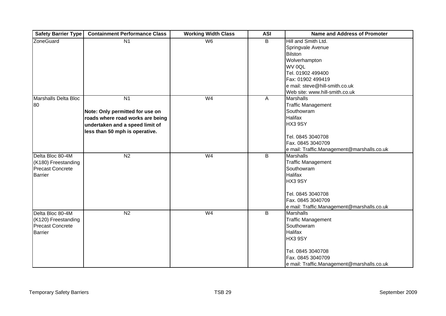| <b>Safety Barrier Type</b> | <b>Containment Performance Class</b> | <b>Working Width Class</b> | <b>ASI</b>              | <b>Name and Address of Promoter</b>        |
|----------------------------|--------------------------------------|----------------------------|-------------------------|--------------------------------------------|
| <b>ZoneGuard</b>           | N <sub>1</sub>                       | W6                         | B                       | Hill and Smith Ltd.                        |
|                            |                                      |                            |                         | Springvale Avenue                          |
|                            |                                      |                            |                         | Bilston                                    |
|                            |                                      |                            |                         | Wolverhampton                              |
|                            |                                      |                            |                         | WV 0QL                                     |
|                            |                                      |                            |                         | Tel. 01902 499400                          |
|                            |                                      |                            |                         | Fax: 01902 499419                          |
|                            |                                      |                            |                         | e mail: steve@hill-smith.co.uk             |
|                            |                                      |                            |                         | Web site: www.hill-smith.co.uk             |
| Marshalls Delta Bloc       | $\overline{N1}$                      | W <sub>4</sub>             | A                       | <b>Marshalls</b>                           |
| 80                         |                                      |                            |                         | <b>Traffic Management</b>                  |
|                            | Note: Only permitted for use on      |                            |                         | Southowram                                 |
|                            | roads where road works are being     |                            |                         | <b>Halifax</b>                             |
|                            | undertaken and a speed limit of      |                            |                         | HX3 9SY                                    |
|                            | less than 50 mph is operative.       |                            |                         |                                            |
|                            |                                      |                            |                         | Tel. 0845 3040708                          |
|                            |                                      |                            |                         | Fax. 0845 3040709                          |
|                            |                                      |                            |                         | e mail: Traffic.Management@marshalls.co.uk |
| Delta Bloc 80-4M           | N <sub>2</sub>                       | W <sub>4</sub>             | $\overline{B}$          | <b>Marshalls</b>                           |
| (K180) Freestanding        |                                      |                            |                         | <b>Traffic Management</b>                  |
| <b>Precast Concrete</b>    |                                      |                            |                         | Southowram                                 |
| <b>Barrier</b>             |                                      |                            |                         | <b>Halifax</b>                             |
|                            |                                      |                            |                         | HX3 9SY                                    |
|                            |                                      |                            |                         |                                            |
|                            |                                      |                            |                         | Tel. 0845 3040708                          |
|                            |                                      |                            |                         | Fax. 0845 3040709                          |
|                            |                                      |                            |                         | e mail: Traffic.Management@marshalls.co.uk |
| Delta Bloc 80-4M           | N <sub>2</sub>                       | W <sub>4</sub>             | $\overline{\mathsf{B}}$ | <b>Marshalls</b>                           |
| (K120) Freestanding        |                                      |                            |                         | <b>Traffic Management</b>                  |
| <b>Precast Concrete</b>    |                                      |                            |                         | Southowram                                 |
| <b>Barrier</b>             |                                      |                            |                         | <b>Halifax</b>                             |
|                            |                                      |                            |                         | HX3 9SY                                    |
|                            |                                      |                            |                         |                                            |
|                            |                                      |                            |                         | Tel. 0845 3040708                          |
|                            |                                      |                            |                         | Fax. 0845 3040709                          |
|                            |                                      |                            |                         | e mail: Traffic.Management@marshalls.co.uk |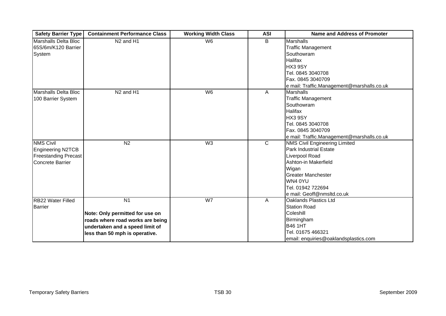| <b>Safety Barrier Type</b>  | <b>Containment Performance Class</b> | <b>Working Width Class</b> | <b>ASI</b>     | <b>Name and Address of Promoter</b>        |
|-----------------------------|--------------------------------------|----------------------------|----------------|--------------------------------------------|
| <b>Marshalls Delta Bloc</b> | N <sub>2</sub> and H <sub>1</sub>    | W <sub>6</sub>             | B              | Marshalls                                  |
| 65S/6m/K120 Barrier         |                                      |                            |                | <b>Traffic Management</b>                  |
| System                      |                                      |                            |                | Southowram                                 |
|                             |                                      |                            |                | <b>Halifax</b>                             |
|                             |                                      |                            |                | HX3 9SY                                    |
|                             |                                      |                            |                | Tel. 0845 3040708                          |
|                             |                                      |                            |                | Fax. 0845 3040709                          |
|                             |                                      |                            |                | e mail: Traffic.Management@marshalls.co.uk |
| Marshalls Delta Bloc        | N <sub>2</sub> and H <sub>1</sub>    | W <sub>6</sub>             | A              | <b>Marshalls</b>                           |
| 100 Barrier System          |                                      |                            |                | <b>Traffic Management</b>                  |
|                             |                                      |                            |                | Southowram                                 |
|                             |                                      |                            |                | Halifax                                    |
|                             |                                      |                            |                | HX3 9SY                                    |
|                             |                                      |                            |                | Tel. 0845 3040708                          |
|                             |                                      |                            |                | Fax. 0845 3040709                          |
|                             |                                      |                            |                | e mail: Traffic.Management@marshalls.co.uk |
| <b>NMS Civil</b>            | N <sub>2</sub>                       | W3                         | $\overline{C}$ | <b>NMS Civil Engineering Limited</b>       |
| <b>Engineering N2TCB</b>    |                                      |                            |                | <b>Park Industrial Estate</b>              |
| <b>Freestanding Precast</b> |                                      |                            |                | Liverpool Road                             |
| <b>Concrete Barrier</b>     |                                      |                            |                | Ashton-in Makerfield                       |
|                             |                                      |                            |                | Wigan                                      |
|                             |                                      |                            |                | <b>Greater Manchester</b>                  |
|                             |                                      |                            |                | WN4 0YU                                    |
|                             |                                      |                            |                | Tel. 01942 722694                          |
|                             |                                      |                            |                | e mail: Geoff@nmsltd.co.uk                 |
| <b>RB22 Water Filled</b>    | N <sub>1</sub>                       | W7                         | A              | Oaklands Plastics Ltd                      |
| <b>Barrier</b>              |                                      |                            |                | <b>Station Road</b>                        |
|                             | Note: Only permitted for use on      |                            |                | Coleshill                                  |
|                             | roads where road works are being     |                            |                | Birmingham                                 |
|                             | undertaken and a speed limit of      |                            |                | <b>B46 1HT</b>                             |
|                             | less than 50 mph is operative.       |                            |                | Tel. 01675 466321                          |
|                             |                                      |                            |                | email: enquiries@oaklandsplastics.com      |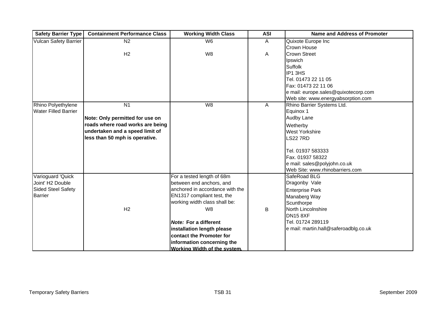| <b>Safety Barrier Type</b>   | <b>Containment Performance Class</b> | <b>Working Width Class</b>      | <b>ASI</b> | <b>Name and Address of Promoter</b>   |
|------------------------------|--------------------------------------|---------------------------------|------------|---------------------------------------|
| <b>Vulcan Safety Barrier</b> | $\overline{N2}$                      | W <sub>6</sub>                  | A          | Quixote Europe Inc                    |
|                              |                                      |                                 |            | Crown House                           |
|                              | H <sub>2</sub>                       | W <sub>8</sub>                  | A          | <b>Crown Street</b>                   |
|                              |                                      |                                 |            | Ipswich                               |
|                              |                                      |                                 |            | Suffolk                               |
|                              |                                      |                                 |            | IP1 3HS                               |
|                              |                                      |                                 |            | Tel. 01473 22 11 05                   |
|                              |                                      |                                 |            | Fax: 01473 22 11 06                   |
|                              |                                      |                                 |            | e mail: europe.sales@quixotecorp.com  |
|                              |                                      |                                 |            | Web site: www.energyabsorption.com    |
| Rhino Polyethylene           | N <sub>1</sub>                       | W8                              | A          | Rhino Barrier Systems Ltd.            |
| <b>Water Filled Barrier</b>  |                                      |                                 |            | Equinox 1                             |
|                              | Note: Only permitted for use on      |                                 |            | Audby Lane                            |
|                              | roads where road works are being     |                                 |            | Wetherby                              |
|                              | undertaken and a speed limit of      |                                 |            | <b>West Yorkshire</b>                 |
|                              | less than 50 mph is operative.       |                                 |            | <b>LS22 7RD</b>                       |
|                              |                                      |                                 |            |                                       |
|                              |                                      |                                 |            | Tel. 01937 583333                     |
|                              |                                      |                                 |            | Fax. 01937 58322                      |
|                              |                                      |                                 |            | e mail: sales@polyjohn.co.uk          |
|                              |                                      |                                 |            | Web Site: www.rhinobarriers.com       |
| Varioguard 'Quick            |                                      | For a tested length of 68m      |            | SafeRoad BLG                          |
| Joint' H2 Double             |                                      | between end anchors, and        |            | Dragonby Vale                         |
| Sided Steel Safety           |                                      | anchored in accordance with the |            | <b>Enterprise Park</b>                |
| <b>Barrier</b>               |                                      | EN1317 compliant test, the      |            | Manaberg Way                          |
|                              |                                      | working width class shall be:   |            | Scunthorpe                            |
|                              | H <sub>2</sub>                       | W <sub>8</sub>                  | B          | North Lincolnshire                    |
|                              |                                      |                                 |            | <b>DN15 8XF</b>                       |
|                              |                                      | <b>Note: For a different</b>    |            | Tel. 01724 289119                     |
|                              |                                      | installation length please      |            | e mail: martin.hall@saferoadblg.co.uk |
|                              |                                      | contact the Promoter for        |            |                                       |
|                              |                                      | information concerning the      |            |                                       |
|                              |                                      | Working Width of the system.    |            |                                       |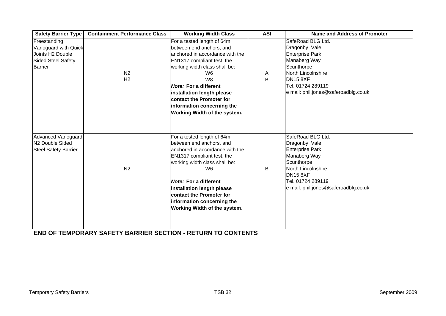| <b>Safety Barrier Type</b>                                                                 | <b>Containment Performance Class</b> | <b>Working Width Class</b>                                                                                                                                                                                                                                                                                                                                  | <b>ASI</b> | Name and Address of Promoter                                                                                                                                                                          |
|--------------------------------------------------------------------------------------------|--------------------------------------|-------------------------------------------------------------------------------------------------------------------------------------------------------------------------------------------------------------------------------------------------------------------------------------------------------------------------------------------------------------|------------|-------------------------------------------------------------------------------------------------------------------------------------------------------------------------------------------------------|
| Freestanding<br>Varioguard with Quick<br>Joints H2 Double<br>Sided Steel Safety<br>Barrier | N <sub>2</sub><br>H <sub>2</sub>     | For a tested length of 64m<br>between end anchors, and<br>anchored in accordance with the<br>EN1317 compliant test, the<br>working width class shall be:<br>W <sub>6</sub><br>W <sub>8</sub><br><b>Note: For a different</b><br>installation length please<br><b>contact the Promoter for</b><br>information concerning the<br>Working Width of the system. | A<br>B     | SafeRoad BLG Ltd.<br>Dragonby Vale<br><b>Enterprise Park</b><br>Manaberg Way<br>Scunthorpe<br>North Lincolnshire<br>DN <sub>15</sub> 8XF<br>Tel. 01724 289119<br>e mail: phil.jones@saferoadblg.co.uk |
| Advanced Varioguard<br>N <sub>2</sub> Double Sided<br><b>Steel Safety Barrier</b>          | N <sub>2</sub>                       | For a tested length of 64m<br>between end anchors, and<br>anchored in accordance with the<br>EN1317 compliant test, the<br>working width class shall be:<br>W <sub>6</sub><br><b>Note: For a different</b><br>installation length please<br>contact the Promoter for<br>information concerning the<br>Working Width of the system.                          | B          | SafeRoad BLG Ltd.<br>Dragonby Vale<br><b>Enterprise Park</b><br>Manaberg Way<br>Scunthorpe<br>North Lincolnshire<br>DN <sub>15</sub> 8XF<br>Tel. 01724 289119<br>e mail: phil.jones@saferoadblg.co.uk |

**[END OF TEMPORARY SAFETY BARRIER SECTION - RETURN TO CONTENTS](#page-0-0)**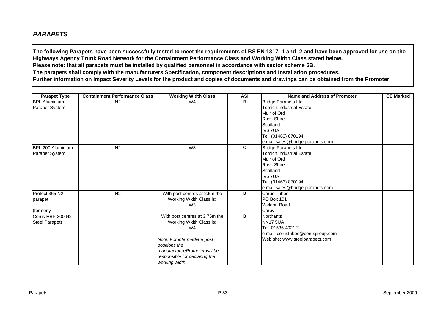### <span id="page-34-0"></span>*PARAPETS*

**The following Parapets have been successfully tested to meet the requirements of BS EN 1317 -1 and -2 and have been approved for use on the Highways Agency Trunk Road Network for the Containment Performance Class and Working Width Class stated below. Please note: that all parapets must be installed by qualified personnel in accordance with sector scheme 5B. The parapets shall comply with the manufacturers Specification, component descriptions and Installation procedures. Further information on Impact Severity Levels for the product and copies of documents and drawings can be obtained from the Promoter.**

| <b>Parapet Type</b>   | <b>Containment Performance Class</b> | <b>Working Width Class</b>     | <b>ASI</b>     | <b>Name and Address of Promoter</b> | <b>CE Marked</b> |
|-----------------------|--------------------------------------|--------------------------------|----------------|-------------------------------------|------------------|
| <b>BPL Aluminium</b>  | N <sub>2</sub>                       | W4                             | B              | <b>Bridge Parapets Ltd</b>          |                  |
| Parapet System        |                                      |                                |                | <b>Tomich Industrial Estate</b>     |                  |
|                       |                                      |                                |                | Muir of Ord                         |                  |
|                       |                                      |                                |                | Ross-Shire                          |                  |
|                       |                                      |                                |                | Scotland                            |                  |
|                       |                                      |                                |                | <b>IV6 7UA</b>                      |                  |
|                       |                                      |                                |                | Tel. (01463) 870194                 |                  |
|                       |                                      |                                |                | e mail:sales@bridge-parapets.com    |                  |
| BPL 200 Aluminium     | N <sub>2</sub>                       | W3                             | $\overline{C}$ | <b>Bridge Parapets Ltd</b>          |                  |
| <b>Parapet System</b> |                                      |                                |                | <b>Tomich Industrial Estate</b>     |                  |
|                       |                                      |                                |                | Muir of Ord                         |                  |
|                       |                                      |                                |                | Ross-Shire                          |                  |
|                       |                                      |                                |                | Scotland                            |                  |
|                       |                                      |                                |                | IV6 7UA                             |                  |
|                       |                                      |                                |                | Tel. (01463) 870194                 |                  |
|                       |                                      |                                |                | e mail:sales@bridge-parapets.com    |                  |
| Protect 365 N2        | N2                                   | With post centres at 2.5m the  | B              | Corus Tubes                         |                  |
| parapet               |                                      | Working Width Class is:        |                | PO Box 101                          |                  |
|                       |                                      | W <sub>3</sub>                 |                | <b>Weldon Road</b>                  |                  |
| (formerly             |                                      |                                |                | Corby                               |                  |
| Corus HBP 300 N2      |                                      | With post centres at 3.75m the | B              | <b>Northants</b>                    |                  |
| Steel Parapet)        |                                      | Working Width Class is:        |                | <b>NN17 5UA</b>                     |                  |
|                       |                                      | W <sub>4</sub>                 |                | Tel. 01536 402121                   |                  |
|                       |                                      |                                |                | e mail: corustubes@corusgroup.com   |                  |
|                       |                                      | Note: For intermediate post    |                | Web site: www.steelparapets.com     |                  |
|                       |                                      | positions the                  |                |                                     |                  |
|                       |                                      | manufacturer/Promoter will be  |                |                                     |                  |
|                       |                                      | responsible for declaring the  |                |                                     |                  |
|                       |                                      | working width.                 |                |                                     |                  |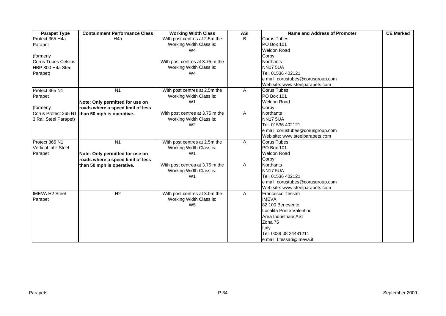| <b>Parapet Type</b>          | <b>Containment Performance Class</b> | <b>Working Width Class</b>      | <b>ASI</b> | Name and Address of Promoter      | <b>CE Marked</b> |
|------------------------------|--------------------------------------|---------------------------------|------------|-----------------------------------|------------------|
| Protect 365 H4a              | H <sub>4</sub> a                     | With post centres at 2.5m the   | B          | <b>Corus Tubes</b>                |                  |
| Parapet                      |                                      | Working Width Class is:         |            | <b>PO Box 101</b>                 |                  |
|                              |                                      | W4                              |            | <b>Weldon Road</b>                |                  |
| (formerly)                   |                                      |                                 |            | Corby                             |                  |
| <b>Corus Tubes Celsius</b>   |                                      | With post centres at 3.75 m the |            | Northants                         |                  |
| HBP 300 H4a Steel            |                                      | Working Width Class is:         |            | <b>NN17 5UA</b>                   |                  |
| Parapet)                     |                                      | W <sub>4</sub>                  |            | Tel. 01536 402121                 |                  |
|                              |                                      |                                 |            | e mail: corustubes@corusgroup.com |                  |
|                              |                                      |                                 |            | Web site: www.steelparapets.com   |                  |
| Protect 365 N1               | N <sub>1</sub>                       | With post centres at 2.5m the   | A          | <b>Corus Tubes</b>                |                  |
| Parapet                      |                                      | Working Width Class is:         |            | <b>PO Box 101</b>                 |                  |
|                              | Note: Only permitted for use on      | W <sub>1</sub>                  |            | <b>Weldon Road</b>                |                  |
| (formerly                    | roads where a speed limit of less    |                                 |            | Corby                             |                  |
| Corus Protect 365 N1         | than 50 mph is operative.            | With post centres at 3.75 m the | A          | <b>Northants</b>                  |                  |
| 3 Rail Steel Parapet)        |                                      | Working Width Class is:         |            | <b>NN17 5UA</b>                   |                  |
|                              |                                      | W <sub>2</sub>                  |            | Tel. 01536 402121                 |                  |
|                              |                                      |                                 |            | e mail: corustubes@corusgroup.com |                  |
|                              |                                      |                                 |            | Web site: www.steelparapets.com   |                  |
| Protect 365 N1               | N <sub>1</sub>                       | With post centres at 2.5m the   | Α          | <b>Corus Tubes</b>                |                  |
| <b>Vertical Infill Steel</b> |                                      | Working Width Class is:         |            | <b>PO Box 101</b>                 |                  |
| Parapet                      | Note: Only permitted for use on      | W <sub>1</sub>                  |            | <b>Weldon Road</b>                |                  |
|                              | roads where a speed limit of less    |                                 |            | Corby                             |                  |
|                              | than 50 mph is operative.            | With post centres at 3.75 m the | A          | Northants                         |                  |
|                              |                                      | Working Width Class is:         |            | <b>NN17 5UA</b>                   |                  |
|                              |                                      | W <sub>1</sub>                  |            | Tel. 01536 402121                 |                  |
|                              |                                      |                                 |            | e mail: corustubes@corusgroup.com |                  |
|                              |                                      |                                 |            | Web site: www.steelparapets.com   |                  |
| <b>IMEVA H2 Steel</b>        | H2                                   | With post centres at 3.0m the   | A          | Francesco Tessari                 |                  |
| Parapet                      |                                      | Working Width Class is:         |            | <b>IMEVA</b>                      |                  |
|                              |                                      | W <sub>5</sub>                  |            | 82 100 Benevento                  |                  |
|                              |                                      |                                 |            | Localita Ponte Valentino          |                  |
|                              |                                      |                                 |            | Area Industriale ASI              |                  |
|                              |                                      |                                 |            | Zona 75                           |                  |
|                              |                                      |                                 |            | Italy                             |                  |
|                              |                                      |                                 |            | Tel. 0039 08 24481211             |                  |
|                              |                                      |                                 |            | e mail: f.tessari@imeva.it        |                  |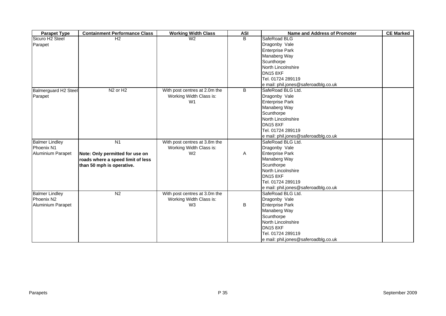| <b>Parapet Type</b>         | <b>Containment Performance Class</b> | <b>Working Width Class</b>    | <b>ASI</b> | <b>Name and Address of Promoter</b>  | <b>CE Marked</b> |
|-----------------------------|--------------------------------------|-------------------------------|------------|--------------------------------------|------------------|
| Sicuro H <sub>2</sub> Steel | H <sub>2</sub>                       | W <sub>2</sub>                | B          | SafeRoad BLG                         |                  |
| Parapet                     |                                      |                               |            | Dragonby Vale                        |                  |
|                             |                                      |                               |            | <b>Enterprise Park</b>               |                  |
|                             |                                      |                               |            | Manaberg Way                         |                  |
|                             |                                      |                               |            | Scunthorpe                           |                  |
|                             |                                      |                               |            | North Lincolnshire                   |                  |
|                             |                                      |                               |            | <b>DN15 8XF</b>                      |                  |
|                             |                                      |                               |            | Tel. 01724 289119                    |                  |
|                             |                                      |                               |            | e mail: phil.jones@saferoadblg.co.uk |                  |
| <b>Balmerguard H2 Steel</b> | N <sub>2</sub> or H <sub>2</sub>     | With post centres at 2.0m the | B          | SafeRoad BLG Ltd.                    |                  |
| Parapet                     |                                      | Working Width Class is:       |            | Dragonby Vale                        |                  |
|                             |                                      | W <sub>1</sub>                |            | <b>Enterprise Park</b>               |                  |
|                             |                                      |                               |            | Manaberg Way                         |                  |
|                             |                                      |                               |            | Scunthorpe                           |                  |
|                             |                                      |                               |            | North Lincolnshire                   |                  |
|                             |                                      |                               |            | <b>DN15 8XF</b>                      |                  |
|                             |                                      |                               |            | Tel. 01724 289119                    |                  |
|                             |                                      |                               |            | e mail: phil.jones@saferoadblg.co.uk |                  |
| <b>Balmer Lindley</b>       | N1                                   | With post centres at 3.8m the |            | SafeRoad BLG Ltd.                    |                  |
| Phoenix N1                  |                                      | Working Width Class is:       |            | Dragonby Vale                        |                  |
| Aluminium Parapet           | Note: Only permitted for use on      | W <sub>2</sub>                | A          | <b>Enterprise Park</b>               |                  |
|                             | roads where a speed limit of less    |                               |            | Manaberg Way                         |                  |
|                             | than 50 mph is operative.            |                               |            | Scunthorpe                           |                  |
|                             |                                      |                               |            | North Lincolnshire                   |                  |
|                             |                                      |                               |            | <b>DN15 8XF</b>                      |                  |
|                             |                                      |                               |            | Tel. 01724 289119                    |                  |
|                             |                                      |                               |            | e mail: phil.jones@saferoadblg.co.uk |                  |
| <b>Balmer Lindley</b>       | N <sub>2</sub>                       | With post centres at 3.0m the |            | SafeRoad BLG Ltd.                    |                  |
| Phoenix N2                  |                                      | Working Width Class is:       |            | Dragonby Vale                        |                  |
| Aluminium Parapet           |                                      | W <sub>3</sub>                | B          | <b>Enterprise Park</b>               |                  |
|                             |                                      |                               |            | Manaberg Way                         |                  |
|                             |                                      |                               |            | Scunthorpe                           |                  |
|                             |                                      |                               |            | North Lincolnshire                   |                  |
|                             |                                      |                               |            | <b>DN15 8XF</b>                      |                  |
|                             |                                      |                               |            | Tel. 01724 289119                    |                  |
|                             |                                      |                               |            | e mail: phil.jones@saferoadblg.co.uk |                  |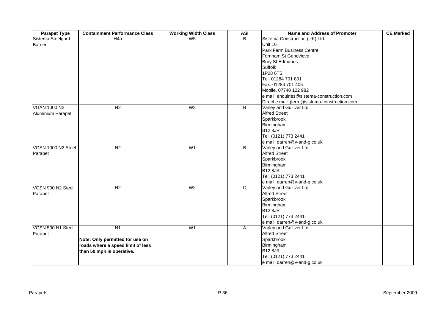| <b>Parapet Type</b> | <b>Containment Performance Class</b> | <b>Working Width Class</b> | <b>ASI</b> | <b>Name and Address of Promoter</b>            | <b>CE Marked</b> |
|---------------------|--------------------------------------|----------------------------|------------|------------------------------------------------|------------------|
| Sistema Steelgard   | H <sub>4</sub> a                     | W <sub>5</sub>             | B          | Sistema Construction (UK) Ltd.                 |                  |
| <b>Barrier</b>      |                                      |                            |            | Unit 16                                        |                  |
|                     |                                      |                            |            | Park Farm Business Centre                      |                  |
|                     |                                      |                            |            | Fornham St Genevieve                           |                  |
|                     |                                      |                            |            | <b>Bury St Edmunds</b>                         |                  |
|                     |                                      |                            |            | Suffolk                                        |                  |
|                     |                                      |                            |            | 1P28 6TS                                       |                  |
|                     |                                      |                            |            | Tel. 01284 701 801                             |                  |
|                     |                                      |                            |            | Fax. 01284 701 405                             |                  |
|                     |                                      |                            |            | Mobile. 07740 122 982                          |                  |
|                     |                                      |                            |            | e mail: enquiries@sistema-construction.com     |                  |
|                     |                                      |                            |            | Direct e mail: jferro@sistema-construction.com |                  |
| <b>VGAN 1000 N2</b> | N <sub>2</sub>                       | W <sub>2</sub>             | B          | Varley and Gulliver Ltd                        |                  |
| Aluminium Parapet   |                                      |                            |            | <b>Alfred Street</b>                           |                  |
|                     |                                      |                            |            | Sparkbrook                                     |                  |
|                     |                                      |                            |            | Birmingham                                     |                  |
|                     |                                      |                            |            | <b>B12 8JR</b>                                 |                  |
|                     |                                      |                            |            | Tel. (0121) 773 2441                           |                  |
|                     |                                      |                            |            | e mail: darren@v-and-g.co.uk                   |                  |
| VGSN 1000 N2 Steel  | N <sub>2</sub>                       | W <sub>1</sub>             | B          | Varley and Gulliver Ltd                        |                  |
| Parapet             |                                      |                            |            | <b>Alfred Street</b>                           |                  |
|                     |                                      |                            |            | Sparkbrook                                     |                  |
|                     |                                      |                            |            | Birmingham                                     |                  |
|                     |                                      |                            |            | <b>B12 8JR</b>                                 |                  |
|                     |                                      |                            |            | Tel. (0121) 773 2441                           |                  |
|                     |                                      |                            |            | e mail: darren@v-and-g.co.uk                   |                  |
| VGSN 900 N2 Steel   | N <sub>2</sub>                       | W <sub>2</sub>             | C          | Varley and Gulliver Ltd                        |                  |
| Parapet             |                                      |                            |            | <b>Alfred Street</b>                           |                  |
|                     |                                      |                            |            | Sparkbrook                                     |                  |
|                     |                                      |                            |            | Birmingham                                     |                  |
|                     |                                      |                            |            | <b>B12 8JR</b>                                 |                  |
|                     |                                      |                            |            | Tel. (0121) 773 2441                           |                  |
|                     |                                      |                            |            | e mail: darren@v-and-g.co.uk                   |                  |
| VGSN 500 N1 Steel   | N1                                   | W <sub>1</sub>             | A          | Varley and Gulliver Ltd                        |                  |
| Parapet             |                                      |                            |            | <b>Alfred Street</b>                           |                  |
|                     | Note: Only permitted for use on      |                            |            | Sparkbrook                                     |                  |
|                     | roads where a speed limit of less    |                            |            | Birmingham                                     |                  |
|                     | than 50 mph is operative.            |                            |            | <b>B12 8JR</b>                                 |                  |
|                     |                                      |                            |            | Tel. (0121) 773 2441                           |                  |
|                     |                                      |                            |            | e mail: darren@v-and-g.co.uk                   |                  |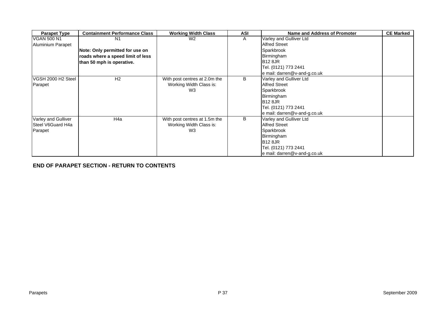| <b>Parapet Type</b> | <b>Containment Performance Class</b> | <b>Working Width Class</b>    | <b>ASI</b> | Name and Address of Promoter | <b>CE Marked</b> |
|---------------------|--------------------------------------|-------------------------------|------------|------------------------------|------------------|
| <b>VGAN 500 N1</b>  | N1                                   | W <sub>2</sub>                | A          | Varley and Gulliver Ltd      |                  |
| Aluminium Parapet   |                                      |                               |            | <b>Alfred Street</b>         |                  |
|                     | Note: Only permitted for use on      |                               |            | Sparkbrook                   |                  |
|                     | roads where a speed limit of less    |                               |            | Birmingham                   |                  |
|                     | than 50 mph is operative.            |                               |            | <b>B12 8JR</b>               |                  |
|                     |                                      |                               |            | Tel. (0121) 773 2441         |                  |
|                     |                                      |                               |            | e mail: darren@v-and-g.co.uk |                  |
| VGSH 2000 H2 Steel  | H <sub>2</sub>                       | With post centres at 2.0m the | В          | Varley and Gulliver Ltd      |                  |
| Parapet             |                                      | Working Width Class is:       |            | <b>Alfred Street</b>         |                  |
|                     |                                      | W3                            |            | Sparkbrook                   |                  |
|                     |                                      |                               |            | Birmingham                   |                  |
|                     |                                      |                               |            | <b>B12 8JR</b>               |                  |
|                     |                                      |                               |            | Tel. (0121) 773 2441         |                  |
|                     |                                      |                               |            | e mail: darren@v-and-g.co.uk |                  |
| Varley and Gulliver | H <sub>4a</sub>                      | With post centres at 1.5m the | B          | Varley and Gulliver Ltd      |                  |
| Steel V6Guard H4a   |                                      | Working Width Class is:       |            | <b>Alfred Street</b>         |                  |
| Parapet             |                                      | W <sub>3</sub>                |            | Sparkbrook                   |                  |
|                     |                                      |                               |            | Birmingham                   |                  |
|                     |                                      |                               |            | <b>B12 8JR</b>               |                  |
|                     |                                      |                               |            | Tel. (0121) 773 2441         |                  |
|                     |                                      |                               |            | e mail: darren@v-and-g.co.uk |                  |

**[END OF PARAPET SECTION - RETURN TO CONTENTS](#page-0-0)**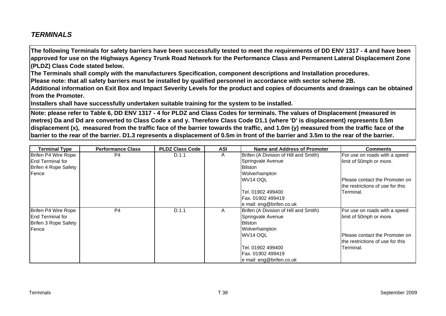## <span id="page-39-0"></span>*TERMINALS*

**The following Terminals for safety barriers have been successfully tested to meet the requirements of DD ENV 1317 - 4 and have been approved for use on the Highways Agency Trunk Road Network for the Performance Class and Permanent Lateral Displacement Zone (PLDZ) Class Code stated below.** 

**The Terminals shall comply with the manufacturers Specification, component descriptions and Installation procedures.** 

**Please note: that all safety barriers must be installed by qualified personnel in accordance with sector scheme 2B.** 

**Additional information on Exit Box and Impact Severity Levels for the product and copies of documents and drawings can be obtained from the Promoter.**

**Installers shall have successfully undertaken suitable training for the system to be installed.**

**Note: please refer to Table 6, DD ENV 1317 - 4 for PLDZ and Class Codes for terminals. The values of Displacement (measured in metres) Da and Dd are converted to Class Code x and y. Therefore Class Code D1.1 (where 'D' is displacement) represents 0.5m displacement (x), measured from the traffic face of the barrier towards the traffic, and 1.0m (y) measured from the traffic face of the barrier to the rear of the barrier. D1.3 represents a displacement of 0.5m in front of the barrier and 3.5m to the rear of the barrier.**

| <b>Terminal Type</b>      | <b>Performance Class</b> | <b>PLDZ Class Code</b> | <b>ASI</b> | Name and Address of Promoter          | <b>Comments</b>                   |
|---------------------------|--------------------------|------------------------|------------|---------------------------------------|-----------------------------------|
| Brifen P4 Wire Rope       | P <sub>4</sub>           | D.1.1                  | A          | Brifen (A Division of Hill and Smith) | For use on roads with a speed     |
| <b>IEnd Terminal for</b>  |                          |                        |            | Springvale Avenue                     | limit of 50mph or more.           |
| Brifen 4 Rope Safety      |                          |                        |            | <b>Bilston</b>                        |                                   |
| Fence                     |                          |                        |            | Wolverhampton                         |                                   |
|                           |                          |                        |            | WV14 OQL                              | IPlease contact the Promoter on   |
|                           |                          |                        |            |                                       | Ithe restrictions of use for this |
|                           |                          |                        |            | Tel. 01902 499400                     | Terminal.                         |
|                           |                          |                        |            | Fax. 01902 499419                     |                                   |
|                           |                          |                        |            | e mail: eng@brifen.co.uk              |                                   |
| Brifen P4 Wire Rope       | P <sub>4</sub>           | D.1.1                  | A          | Brifen (A Division of Hill and Smith) | For use on roads with a speed     |
| <b>I</b> End Terminal for |                          |                        |            | Springvale Avenue                     | limit of 50mph or more.           |
| Brifen 3 Rope Safety      |                          |                        |            | <b>Bilston</b>                        |                                   |
| Fence                     |                          |                        |            | Wolverhampton                         |                                   |
|                           |                          |                        |            | WV14 OQL                              | IPlease contact the Promoter on   |
|                           |                          |                        |            |                                       | the restrictions of use for this  |
|                           |                          |                        |            | Tel. 01902 499400                     | Terminal.                         |
|                           |                          |                        |            | IFax. 01902 499419                    |                                   |
|                           |                          |                        |            | le mail: eng@brifen.co.uk             |                                   |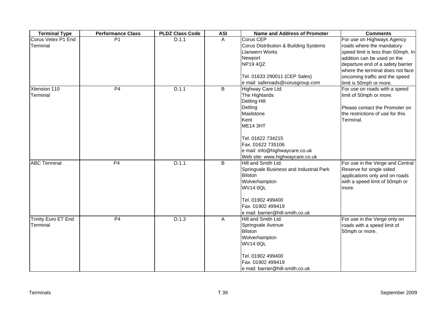| <b>Terminal Type</b>       | <b>Performance Class</b> | <b>PLDZ Class Code</b> | <b>ASI</b> | Name and Address of Promoter            | <b>Comments</b>                    |
|----------------------------|--------------------------|------------------------|------------|-----------------------------------------|------------------------------------|
| Corus Vetex P1 End         | P <sub>1</sub>           | D.1.1                  | A          | Corus CEP                               | For use on Highways Agency         |
| Terminal                   |                          |                        |            | Corus Distribution & Building Systems   | roads where the mandatory          |
|                            |                          |                        |            | <b>Llanwern Works</b>                   | speed limit is less than 50mph. In |
|                            |                          |                        |            | Newport                                 | addition can be used on the        |
|                            |                          |                        |            | NP194QZ                                 | departure end of a safety barrier  |
|                            |                          |                        |            |                                         | where the terminal does not face   |
|                            |                          |                        |            | Tel. 01633 290011 (CEP Sales)           | oncoming traffic and the speed     |
|                            |                          |                        |            | e mail: saferoads@corusgroup.com        | limit is 50mph or more.            |
| Xtension 110               | P4                       | D.1.1                  | B          | Highway Care Ltd.                       | For use on roads with a speed      |
| Terminal                   |                          |                        |            | The Highlands                           | limit of 50mph or more.            |
|                            |                          |                        |            | <b>Detling Hill</b>                     |                                    |
|                            |                          |                        |            | Detling                                 | Please contact the Promoter on     |
|                            |                          |                        |            | Maidstone                               | the restrictions of use for this   |
|                            |                          |                        |            | Kent                                    | Terminal.                          |
|                            |                          |                        |            | <b>ME14 3HT</b>                         |                                    |
|                            |                          |                        |            | Tel. 01622 734215                       |                                    |
|                            |                          |                        |            | Fax. 01622 735106                       |                                    |
|                            |                          |                        |            | e mail: info@highwaycare.co.uk          |                                    |
|                            |                          |                        |            | Web site: www.highwaycare.co.uk         |                                    |
| <b>ABC Terminal</b>        | P <sub>4</sub>           | D.1.1                  | B          | Hill and Smith Ltd.                     | For use in the Verge and Central   |
|                            |                          |                        |            | Springvale Business and Industrial Park | Reserve for single sided           |
|                            |                          |                        |            | <b>Bilston</b>                          | applications only and on roads     |
|                            |                          |                        |            | Wolverhampton                           | with a speed limit of 50mph or     |
|                            |                          |                        |            | <b>WV14 0QL</b>                         | more.                              |
|                            |                          |                        |            | Tel. 01902 499400                       |                                    |
|                            |                          |                        |            | Fax. 01902 499419                       |                                    |
|                            |                          |                        |            | e mail: barrier@hill-smith.co.uk        |                                    |
| <b>Trinity Euro ET End</b> | P4                       | D.1.3                  | A          | Hill and Smith Ltd.                     | For use in the Verge only on       |
| Terminal                   |                          |                        |            | Springvale Avenue                       | roads with a speed limit of        |
|                            |                          |                        |            | <b>Bilston</b>                          | 50mph or more.                     |
|                            |                          |                        |            | Wolverhampton                           |                                    |
|                            |                          |                        |            | <b>WV14 0QL</b>                         |                                    |
|                            |                          |                        |            |                                         |                                    |
|                            |                          |                        |            | Tel. 01902 499400                       |                                    |
|                            |                          |                        |            | Fax. 01902 499419                       |                                    |
|                            |                          |                        |            | e mail: barrier@hill-smith.co.uk        |                                    |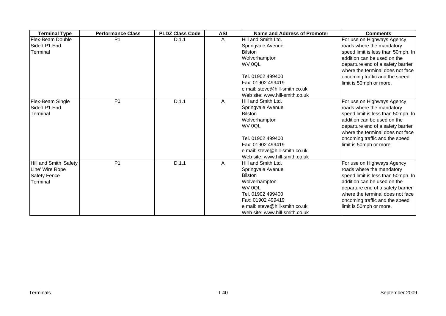| <b>Terminal Type</b>    | <b>Performance Class</b> | <b>PLDZ Class Code</b> | <b>ASI</b> | <b>Name and Address of Promoter</b> | <b>Comments</b>                    |
|-------------------------|--------------------------|------------------------|------------|-------------------------------------|------------------------------------|
| <b>Flex-Beam Double</b> | P <sub>1</sub>           | D.1.1                  | Α          | Hill and Smith Ltd.                 | For use on Highways Agency         |
| Sided P1 End            |                          |                        |            | Springvale Avenue                   | roads where the mandatory          |
| Terminal                |                          |                        |            | <b>Bilston</b>                      | speed limit is less than 50mph. In |
|                         |                          |                        |            | Wolverhampton                       | addition can be used on the        |
|                         |                          |                        |            | WV 0QL                              | departure end of a safety barrier  |
|                         |                          |                        |            |                                     | where the terminal does not face   |
|                         |                          |                        |            | Tel. 01902 499400                   | oncoming traffic and the speed     |
|                         |                          |                        |            | Fax: 01902 499419                   | limit is 50mph or more.            |
|                         |                          |                        |            | e mail: steve@hill-smith.co.uk      |                                    |
|                         |                          |                        |            | Web site: www.hill-smith.co.uk      |                                    |
| Flex-Beam Single        | P <sub>1</sub>           | D.1.1                  | A          | Hill and Smith Ltd.                 | For use on Highways Agency         |
| Sided P1 End            |                          |                        |            | Springvale Avenue                   | roads where the mandatory          |
| Terminal                |                          |                        |            | <b>Bilston</b>                      | speed limit is less than 50mph. In |
|                         |                          |                        |            | Wolverhampton                       | addition can be used on the        |
|                         |                          |                        |            | WV 0QL                              | departure end of a safety barrier  |
|                         |                          |                        |            |                                     | where the terminal does not face   |
|                         |                          |                        |            | Tel. 01902 499400                   | oncoming traffic and the speed     |
|                         |                          |                        |            | Fax: 01902 499419                   | limit is 50mph or more.            |
|                         |                          |                        |            | e mail: steve@hill-smith.co.uk      |                                    |
|                         |                          |                        |            | Web site: www.hill-smith.co.uk      |                                    |
| Hill and Smith 'Safety  | P <sub>1</sub>           | D.1.1                  | A          | Hill and Smith Ltd.                 | For use on Highways Agency         |
| Line' Wire Rope         |                          |                        |            | Springvale Avenue                   | roads where the mandatory          |
| <b>Safety Fence</b>     |                          |                        |            | <b>Bilston</b>                      | speed limit is less than 50mph. In |
| Terminal                |                          |                        |            | Wolverhampton                       | addition can be used on the        |
|                         |                          |                        |            | WV 0QL                              | departure end of a safety barrier  |
|                         |                          |                        |            | Tel. 01902 499400                   | where the terminal does not face   |
|                         |                          |                        |            | Fax: 01902 499419                   | oncoming traffic and the speed     |
|                         |                          |                        |            | e mail: steve@hill-smith.co.uk      | limit is 50mph or more.            |
|                         |                          |                        |            | Web site: www.hill-smith.co.uk      |                                    |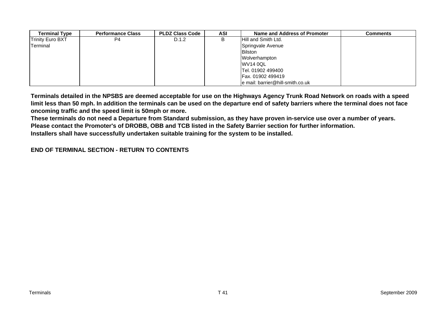| <b>Terminal Type</b> | <b>Performance Class</b> | <b>PLDZ Class Code</b> | <b>ASI</b> | Name and Address of Promoter     | Comments |
|----------------------|--------------------------|------------------------|------------|----------------------------------|----------|
| Trinity Euro BXT     | P4                       | D.1.2                  | В          | <b>Hill and Smith Ltd.</b>       |          |
| Terminal             |                          |                        |            | Springvale Avenue                |          |
|                      |                          |                        |            | <b>Bilston</b>                   |          |
|                      |                          |                        |            | Wolverhampton                    |          |
|                      |                          |                        |            | <b>WV14 0QL</b>                  |          |
|                      |                          |                        |            | Tel. 01902 499400                |          |
|                      |                          |                        |            | Fax. 01902 499419                |          |
|                      |                          |                        |            | e mail: barrier@hill-smith.co.uk |          |

**Terminals detailed in the NPSBS are deemed acceptable for use on the Highways Agency Trunk Road Network on roads with a speed limit less than 50 mph. In addition the terminals can be used on the departure end of safety barriers where the terminal does not face oncoming traffic and the speed limit is 50mph or more.** 

**These terminals do not need a Departure from Standard submission, as they have proven in-service use over a number of years.** 

**Please contact the Promoter's of DROBB, OBB and TCB listed in the Safety Barrier section for further information.**

**Installers shall have successfully undertaken suitable training for the system to be installed.**

#### **[END OF TERMINAL SECTION - RETURN TO CONTENTS](#page-0-0)**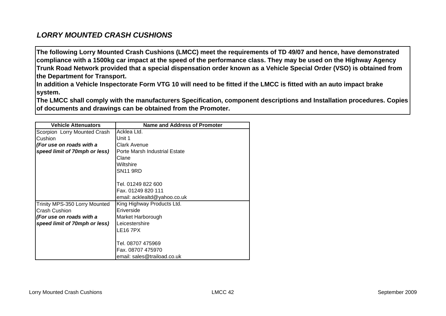## <span id="page-43-0"></span>*LORRY MOUNTED CRASH CUSHIONS*

**The following Lorry Mounted Crash Cushions (LMCC) meet the requirements of TD 49/07 and hence, have demonstrated compliance with a 1500kg car impact at the speed of the performance class. They may be used on the Highway Agency Trunk Road Network provided that a special dispensation order known as a Vehicle Special Order (VSO) is obtained from the Department for Transport.** 

**In addition a Vehicle Inspectorate Form VTG 10 will need to be fitted if the LMCC is fitted with an auto impact brake system.** 

**The LMCC shall comply with the manufacturers Specification, component descriptions and Installation procedures. Copies of documents and drawings can be obtained from the Promoter.**

| <b>Vehicle Attenuators</b>    | Name and Address of Promoter  |
|-------------------------------|-------------------------------|
| Scorpion Lorry Mounted Crash  | Acklea Ltd.                   |
| Cushion                       | Unit 1                        |
| (For use on roads with a      | Clark Avenue                  |
| speed limit of 70mph or less) | Porte Marsh Industrial Estate |
|                               | Clane                         |
|                               | Wiltshire                     |
|                               | <b>SN11 9RD</b>               |
|                               |                               |
|                               | Tel. 01249 822 600            |
|                               | Fax. 01249 820 111            |
|                               | email: acklealtd@yahoo.co.uk  |
| Trinity MPS-350 Lorry Mounted | King Highway Products Ltd.    |
| Crash Cushion                 | Eriverside                    |
| (For use on roads with a      | Market Harborough             |
| speed limit of 70mph or less) | Leicestershire                |
|                               | <b>LE16 7PX</b>               |
|                               |                               |
|                               | Tel. 08707 475969             |
|                               | Fax. 08707 475970             |
|                               | email: sales@traiload.co.uk   |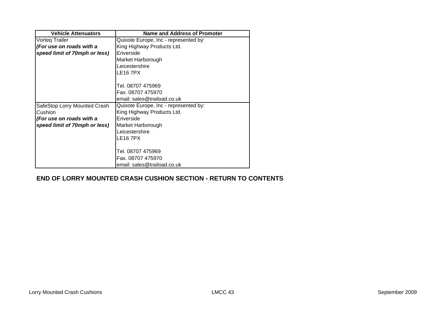| <b>Vehicle Attenuators</b>    | Name and Address of Promoter          |
|-------------------------------|---------------------------------------|
| Vorteq Trailer                | Quixote Europe, Inc - represented by: |
| (For use on roads with a      | King Highway Products Ltd.            |
| speed limit of 70mph or less) | Eriverside                            |
|                               | Market Harborough                     |
|                               | Leicestershire                        |
|                               | <b>LE16 7PX</b>                       |
|                               | Tel. 08707 475969                     |
|                               | Fax. 08707 475970                     |
|                               | email: sales@traiload.co.uk           |
| SafeStop Lorry Mounted Crash  | Quixote Europe, Inc - represented by: |
| Cushion                       | King Highway Products Ltd.            |
| (For use on roads with a      | Eriverside                            |
| speed limit of 70mph or less) | Market Harborough                     |
|                               | Leicestershire                        |
|                               | <b>LE16 7PX</b>                       |
|                               |                                       |
|                               | Tel. 08707 475969                     |
|                               | Fax. 08707 475970                     |
|                               | email: sales@traiload.co.uk           |

#### **[END OF LORRY MOUNTED CRASH CUSHION SECTION - RETURN TO CONTENTS](#page-0-0)**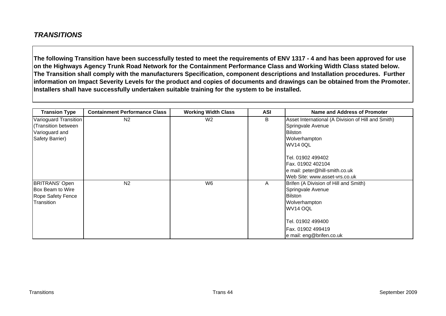## <span id="page-45-0"></span>*TRANSITIONS*

**The following Transition have been successfully tested to meet the requirements of ENV 1317 - 4 and has been approved for use on the Highways Agency Trunk Road Network for the Containment Performance Class and Working Width Class stated below. The Transition shall comply with the manufacturers Specification, component descriptions and Installation procedures. Further information on Impact Severity Levels for the product and copies of documents and drawings can be obtained from the Promoter. Installers shall have successfully undertaken suitable training for the system to be installed.**

| <b>Transion Type</b>                                                              | <b>Containment Performance Class</b> | <b>Working Width Class</b> | <b>ASI</b> | Name and Address of Promoter                                                                                                                                                    |
|-----------------------------------------------------------------------------------|--------------------------------------|----------------------------|------------|---------------------------------------------------------------------------------------------------------------------------------------------------------------------------------|
| Varioguard Transition<br>(Transition between<br>Varioguard and<br>Safety Barrier) | N <sub>2</sub>                       | W <sub>2</sub>             | B          | Asset International (A Division of Hill and Smith)<br>Springvale Avenue<br><b>Bilston</b><br>Wolverhampton                                                                      |
|                                                                                   |                                      |                            |            | <b>WV14 0QL</b><br>Tel. 01902 499402<br>Fax. 01902 402104<br>e mail: peter@hill-smith.co.uk<br>Web Site: www.asset-vrs.co.uk                                                    |
| <b>BRITRANS' Open</b><br>Box Beam to Wire<br>Rope Safety Fence<br>Transition      | N <sub>2</sub>                       | W6                         | Α          | Brifen (A Division of Hill and Smith)<br>Springvale Avenue<br><b>Bilston</b><br>Wolverhampton<br>WV14 OQL<br>Tel. 01902 499400<br>Fax. 01902 499419<br>e mail: eng@brifen.co.uk |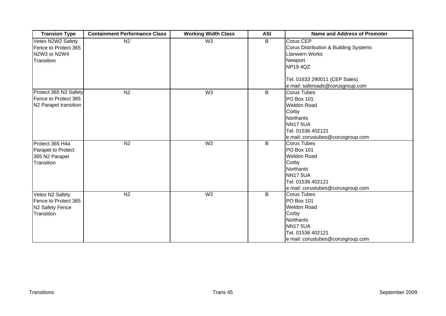| <b>Transion Type</b>                                                     | <b>Containment Performance Class</b> | <b>Working Width Class</b> | <b>ASI</b> | <b>Name and Address of Promoter</b>                                                                                                                                           |
|--------------------------------------------------------------------------|--------------------------------------|----------------------------|------------|-------------------------------------------------------------------------------------------------------------------------------------------------------------------------------|
| Vetex N2W2 Safety<br>Fence to Protect 365<br>N2W3 or N2W4<br>Transition  | N <sub>2</sub>                       | W3                         | B          | Corus CEP<br>Corus Distribution & Building Systems<br><b>Llanwern Works</b><br>Newport<br><b>NP194QZ</b><br>Tel. 01633 290011 (CEP Sales)<br>e mail: saferoads@corusgroup.com |
| Protect 365 N2 Safety<br>Fence to Protect 365<br>N2 Parapet transition   | N <sub>2</sub>                       | W <sub>3</sub>             | B          | Corus Tubes<br><b>PO Box 101</b><br><b>Weldon Road</b><br>Corby<br><b>Northants</b><br><b>NN17 5UA</b><br>Tel. 01536 402121<br>e mail: corustubes@corusgroup.com              |
| Protect 365 H4a<br>Parapet to Protect<br>365 N2 Parapet<br>Transition    | N <sub>2</sub>                       | W <sub>2</sub>             | B          | Corus Tubes<br><b>PO Box 101</b><br><b>Weldon Road</b><br>Corby<br><b>Northants</b><br><b>NN17 5UA</b><br>Tel. 01536 402121<br>e mail: corustubes@corusgroup.com              |
| Vetex N2 Safety<br>Fence to Protect 365<br>N2 Safety Fence<br>Transition | N <sub>2</sub>                       | W <sub>2</sub>             | B          | <b>Corus Tubes</b><br><b>PO Box 101</b><br><b>Weldon Road</b><br>Corby<br><b>Northants</b><br><b>NN17 5UA</b><br>Tel. 01536 402121<br>e mail: corustubes@corusgroup.com       |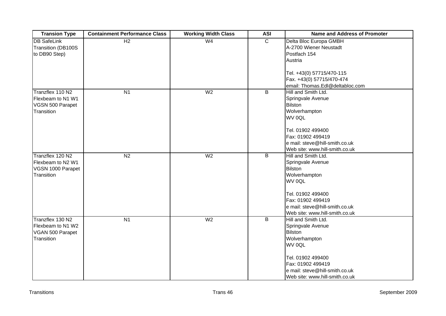| <b>Transion Type</b> | <b>Containment Performance Class</b> | <b>Working Width Class</b> | <b>ASI</b>     | <b>Name and Address of Promoter</b> |
|----------------------|--------------------------------------|----------------------------|----------------|-------------------------------------|
| <b>DB SafeLink</b>   | H2                                   | W <sub>4</sub>             | $\overline{C}$ | Delta Bloc Europa GMBH              |
| Transition (DB100S   |                                      |                            |                | A-2700 Wiener Neustadt              |
| to DB90 Step)        |                                      |                            |                | Postfach 154                        |
|                      |                                      |                            |                | Austria                             |
|                      |                                      |                            |                | Tel. +43(0) 57715/470-115           |
|                      |                                      |                            |                | Fax. +43(0) 57715/470-474           |
|                      |                                      |                            |                | email: Thomas.Edl@deltabloc.com     |
| Tranzflex 110 N2     | N <sub>1</sub>                       | W <sub>2</sub>             | B              | Hill and Smith Ltd.                 |
| Flexbeam to N1 W1    |                                      |                            |                | Springvale Avenue                   |
| VGSN 500 Parapet     |                                      |                            |                | <b>Bilston</b>                      |
| Transition           |                                      |                            |                | Wolverhampton                       |
|                      |                                      |                            |                | WV 0QL                              |
|                      |                                      |                            |                |                                     |
|                      |                                      |                            |                | Tel. 01902 499400                   |
|                      |                                      |                            |                | Fax: 01902 499419                   |
|                      |                                      |                            |                | e mail: steve@hill-smith.co.uk      |
|                      |                                      |                            |                | Web site: www.hill-smith.co.uk      |
| Tranzflex 120 N2     | N <sub>2</sub>                       | W <sub>2</sub>             | $\overline{B}$ | Hill and Smith Ltd.                 |
| Flexbeam to N2 W1    |                                      |                            |                | Springvale Avenue                   |
| VGSN 1000 Parapet    |                                      |                            |                | <b>Bilston</b>                      |
| Transition           |                                      |                            |                | Wolverhampton                       |
|                      |                                      |                            |                | WV 0QL                              |
|                      |                                      |                            |                |                                     |
|                      |                                      |                            |                | Tel. 01902 499400                   |
|                      |                                      |                            |                | Fax: 01902 499419                   |
|                      |                                      |                            |                | e mail: steve@hill-smith.co.uk      |
|                      |                                      |                            |                | Web site: www.hill-smith.co.uk      |
| Tranzflex 130 N2     | $\overline{N1}$                      | W <sub>2</sub>             | $\overline{B}$ | Hill and Smith Ltd.                 |
| Flexbeam to N1 W2    |                                      |                            |                | Springvale Avenue                   |
| VGAN 500 Parapet     |                                      |                            |                | <b>Bilston</b>                      |
| Transition           |                                      |                            |                | Wolverhampton                       |
|                      |                                      |                            |                | WV 0QL                              |
|                      |                                      |                            |                | Tel. 01902 499400                   |
|                      |                                      |                            |                | Fax: 01902 499419                   |
|                      |                                      |                            |                | e mail: steve@hill-smith.co.uk      |
|                      |                                      |                            |                | Web site: www.hill-smith.co.uk      |
|                      |                                      |                            |                |                                     |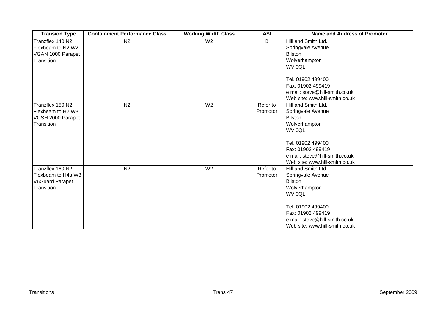| <b>Transion Type</b>   | <b>Containment Performance Class</b> | <b>Working Width Class</b> | <b>ASI</b> | <b>Name and Address of Promoter</b> |
|------------------------|--------------------------------------|----------------------------|------------|-------------------------------------|
| Tranzflex 140 N2       | N <sub>2</sub>                       | $\overline{W}$             | B          | Hill and Smith Ltd.                 |
| Flexbeam to N2 W2      |                                      |                            |            | Springvale Avenue                   |
| VGAN 1000 Parapet      |                                      |                            |            | <b>Bilston</b>                      |
| Transition             |                                      |                            |            | Wolverhampton                       |
|                        |                                      |                            |            | WV 0QL                              |
|                        |                                      |                            |            |                                     |
|                        |                                      |                            |            | Tel. 01902 499400                   |
|                        |                                      |                            |            | Fax: 01902 499419                   |
|                        |                                      |                            |            | e mail: steve@hill-smith.co.uk      |
|                        |                                      |                            |            | Web site: www.hill-smith.co.uk      |
| Tranzflex 150 N2       | N <sub>2</sub>                       | W <sub>2</sub>             | Refer to   | Hill and Smith Ltd.                 |
| Flexbeam to H2 W3      |                                      |                            | Promotor   | Springvale Avenue                   |
| VGSH 2000 Parapet      |                                      |                            |            | <b>Bilston</b>                      |
| Transition             |                                      |                            |            | Wolverhampton                       |
|                        |                                      |                            |            | WV 0QL                              |
|                        |                                      |                            |            |                                     |
|                        |                                      |                            |            | Tel. 01902 499400                   |
|                        |                                      |                            |            | Fax: 01902 499419                   |
|                        |                                      |                            |            | e mail: steve@hill-smith.co.uk      |
|                        |                                      |                            |            | Web site: www.hill-smith.co.uk      |
| Tranzflex 160 N2       | $\overline{N2}$                      | W <sub>2</sub>             | Refer to   | Hill and Smith Ltd.                 |
| Flexbeam to H4a W3     |                                      |                            | Promotor   | Springvale Avenue                   |
| <b>V6Guard Parapet</b> |                                      |                            |            | <b>Bilston</b>                      |
| Transition             |                                      |                            |            | Wolverhampton                       |
|                        |                                      |                            |            | WV 0QL                              |
|                        |                                      |                            |            | Tel. 01902 499400                   |
|                        |                                      |                            |            | Fax: 01902 499419                   |
|                        |                                      |                            |            | e mail: steve@hill-smith.co.uk      |
|                        |                                      |                            |            | Web site: www.hill-smith.co.uk      |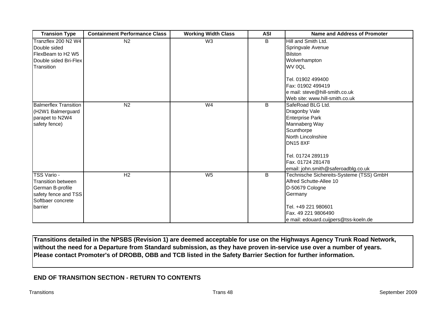| <b>Transion Type</b>                                                                                                 | <b>Containment Performance Class</b> | <b>Working Width Class</b> | <b>ASI</b> | <b>Name and Address of Promoter</b>                                                                                                                                                                                   |
|----------------------------------------------------------------------------------------------------------------------|--------------------------------------|----------------------------|------------|-----------------------------------------------------------------------------------------------------------------------------------------------------------------------------------------------------------------------|
| Tranzflex 200 N2 W4<br>Double sided<br>FlexBeam to H2 W5<br>Double sided Bri-Flex<br>Transition                      | $\overline{N2}$                      | W <sub>3</sub>             | B          | Hill and Smith Ltd.<br>Springvale Avenue<br><b>Bilston</b><br>Wolverhampton<br>WV 0QL<br>Tel. 01902 499400<br>Fax: 01902 499419<br>e mail: steve@hill-smith.co.uk<br>Web site: www.hill-smith.co.uk                   |
| <b>Balmerflex Transition</b><br>(H2W1 Balmerguard<br>parapet to N2W4<br>safety fence)                                | N <sub>2</sub>                       | W <sub>4</sub>             | B          | SafeRoad BLG Ltd.<br>Dragonby Vale<br><b>Enterprise Park</b><br>Mannaberg Way<br>Scunthorpe<br>North Lincolnshire<br><b>DN15 8XF</b><br>Tel. 01724 289119<br>Fax. 01724 281478<br>email: john.smith@saferoadblg.co.uk |
| TSS Vario -<br><b>Transition between</b><br>German B-profile<br>safety fence and TSS<br>Softbaer concrete<br>barrier | H <sub>2</sub>                       | $W_5$                      | B          | Technische Sichereits-Systeme (TSS) GmbH<br>Alfred Schutte-Allee 10<br>D-50679 Cologne<br>Germany<br>Tel. +49 221 980601<br>Fax. 49 221 9806490<br>e mail: edouard.cuijpers@tss-koeln.de                              |

**Transitions detailed in the NPSBS (Revision 1) are deemed acceptable for use on the Highways Agency Trunk Road Network, without the need for a Departure from Standard submission, as they have proven in-service use over a number of years. Please contact Promoter's of DROBB, OBB and TCB listed in the Safety Barrier Section for further information.**

#### **[END OF TRANSITION SECTION - RETURN TO CONTENTS](#page-0-0)**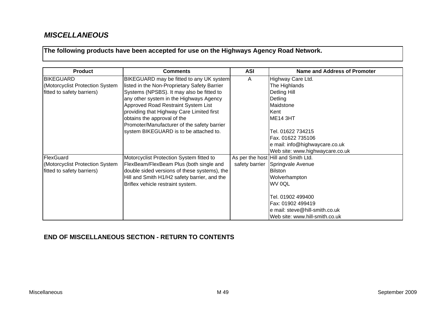## <span id="page-50-0"></span>*MISCELLANEOUS*

**The following products have been accepted for use on the Highways Agency Road Network.**

| <b>Product</b>                  | <b>Comments</b>                              | <b>ASI</b>     | <b>Name and Address of Promoter</b> |
|---------------------------------|----------------------------------------------|----------------|-------------------------------------|
| <b>BIKEGUARD</b>                | BIKEGUARD may be fitted to any UK system     | A              | Highway Care Ltd.                   |
| (Motorcyclist Protection System | listed in the Non-Proprietary Safety Barrier |                | The Highlands                       |
| fitted to safety barriers)      | Systems (NPSBS). It may also be fitted to    |                | Detling Hill                        |
|                                 | any other system in the Highways Agency      |                | Detling                             |
|                                 | Approved Road Restraint System List          |                | Maidstone                           |
|                                 | providing that Highway Care Limited first    |                | Kent                                |
|                                 | obtains the approval of the                  |                | ME <sub>14</sub> 3HT                |
|                                 | Promoter/Manufacturer of the safety barrier  |                |                                     |
|                                 | system BIKEGUARD is to be attached to.       |                | Tel. 01622 734215                   |
|                                 |                                              |                | Fax. 01622 735106                   |
|                                 |                                              |                | e mail: info@highwaycare.co.uk      |
|                                 |                                              |                | Web site: www.highwaycare.co.uk     |
| FlexGuard                       | Motorcyclist Protection System fitted to     |                | As per the host Hill and Smith Ltd. |
| (Motorcyclist Protection System | FlexBeam/FlexBeam Plus (both single and      | safety barrier | Springvale Avenue                   |
| fitted to safety barriers)      | double sided versions of these systems), the |                | Bilston                             |
|                                 | Hill and Smith H1/H2 safety barrier, and the |                | Wolverhampton                       |
|                                 | Briflex vehicle restraint system.            |                | WV 0QL                              |
|                                 |                                              |                |                                     |
|                                 |                                              |                | Tel. 01902 499400                   |
|                                 |                                              |                | Fax: 01902 499419                   |
|                                 |                                              |                | e mail: steve@hill-smith.co.uk      |
|                                 |                                              |                | Web site: www.hill-smith.co.uk      |

## **[END OF MISCELLANEOUS SECTION - RETURN TO CONTENTS](#page-0-0)**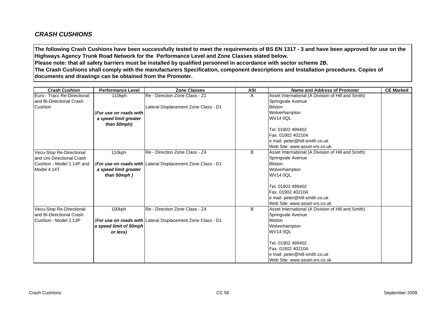## <span id="page-51-0"></span>*CRASH CUSHIONS*

**The following Crash Cushions have been successfully tested to meet the requirements of BS EN 1317 - 3 and have been approved for use on the Highways Agency Trunk Road Network for the Performance Level and Zone Classes stated below.** 

**Please note: that all safety barriers must be installed by qualified personnel in accordance with sector scheme 2B.** 

**The Crash Cushions shall comply with the manufacturers Specification, component descriptions and Installation procedures. Copies of documents and drawings can be obtained from the Promoter.**

| <b>Crash Cushion</b>        | <b>Performance Level</b> | <b>Zone Classes</b>                                         | <b>ASI</b> | <b>Name and Address of Promoter</b>                | <b>CE Marked</b> |
|-----------------------------|--------------------------|-------------------------------------------------------------|------------|----------------------------------------------------|------------------|
| Euro - Tracc Re-Directional | 110kph                   | Re - Direction Zone Class - Z1                              | A          | Asset International (A Division of Hill and Smith) |                  |
| and Bi-Directional Crash    |                          |                                                             |            | Springvale Avenue                                  |                  |
| Cushion                     |                          | Lateral Displacement Zone Class - D1                        |            | <b>Bilston</b>                                     |                  |
|                             | (For use on roads with   |                                                             |            | Wolverhampton                                      |                  |
|                             | a speed limit greater    |                                                             |            | <b>WV14 0QL</b>                                    |                  |
|                             | than 50mph)              |                                                             |            |                                                    |                  |
|                             |                          |                                                             |            | Tel. 01902 499402                                  |                  |
|                             |                          |                                                             |            | Fax. 01902 402104                                  |                  |
|                             |                          |                                                             |            | e mail: peter@hill-smith.co.uk                     |                  |
|                             |                          |                                                             |            | Web Site: www.asset-vrs.co.uk                      |                  |
| Vecu-Stop Re-Directional    | 110kph                   | Re - Direction Zone Class - Z4                              | B          | Asset International (A Division of Hill and Smith) |                  |
| land Uni-Directional Crash  |                          |                                                             |            | Springvale Avenue                                  |                  |
| Cushion - Model 2.14P and   |                          | (For use on roads with Lateral Displacement Zone Class - D1 |            | <b>Bilston</b>                                     |                  |
| Model 4.14T                 | a speed limit greater    |                                                             |            | Wolverhampton                                      |                  |
|                             | than 50mph)              |                                                             |            | <b>WV14 0QL</b>                                    |                  |
|                             |                          |                                                             |            | Tel. 01902 499402                                  |                  |
|                             |                          |                                                             |            | Fax. 01902 402104                                  |                  |
|                             |                          |                                                             |            | e mail: peter@hill-smith.co.uk                     |                  |
|                             |                          |                                                             |            | Web Site: www.asset-vrs.co.uk                      |                  |
| Vecu-Stop Re-Directional    | 100kph                   | Re - Direction Zone Class - Z4                              | B          | Asset International (A Division of Hill and Smith) |                  |
| and Bi-Directional Crash    |                          |                                                             |            | Springvale Avenue                                  |                  |
| Cushion - Model 2.13P       |                          | (For use on roads with Lateral Displacement Zone Class - D1 |            | <b>Bilston</b>                                     |                  |
|                             | a speed limit of 50mph   |                                                             |            | Wolverhampton                                      |                  |
|                             | or less)                 |                                                             |            | <b>WV14 0QL</b>                                    |                  |
|                             |                          |                                                             |            |                                                    |                  |
|                             |                          |                                                             |            | Tel. 01902 499402                                  |                  |
|                             |                          |                                                             |            | Fax. 01902 402104                                  |                  |
|                             |                          |                                                             |            | e mail: peter@hill-smith.co.uk                     |                  |
|                             |                          |                                                             |            | Web Site: www.asset-vrs.co.uk                      |                  |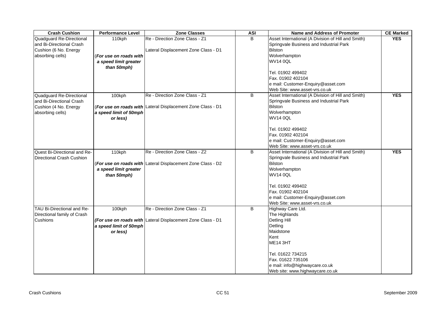| <b>Crash Cushion</b>                                 | <b>Performance Level</b> | Zone Classes                                                      | <b>ASI</b> | <b>Name and Address of Promoter</b>                                                           | <b>CE Marked</b> |
|------------------------------------------------------|--------------------------|-------------------------------------------------------------------|------------|-----------------------------------------------------------------------------------------------|------------------|
| Quadguard Re-Directional<br>and Bi-Directional Crash | 110kph                   | Re - Direction Zone Class - Z1                                    | B.         | Asset International (A Division of Hill and Smith)<br>Springvale Business and Industrial Park | <b>YES</b>       |
| Cushion (6 No. Energy                                |                          | Lateral Displacement Zone Class - D1                              |            | <b>Bilston</b>                                                                                |                  |
| absorbing cells)                                     | (For use on roads with   |                                                                   |            | Wolverhampton                                                                                 |                  |
|                                                      | a speed limit greater    |                                                                   |            | <b>WV14 0QL</b>                                                                               |                  |
|                                                      | than 50mph)              |                                                                   |            |                                                                                               |                  |
|                                                      |                          |                                                                   |            | Tel. 01902 499402                                                                             |                  |
|                                                      |                          |                                                                   |            | Fax. 01902 402104                                                                             |                  |
|                                                      |                          |                                                                   |            | e mail: Customer-Enquiry@asset.com                                                            |                  |
|                                                      |                          |                                                                   |            | Web Site: www.asset-vrs.co.uk                                                                 |                  |
| Quadguard Re-Directional                             | 100kph                   | Re - Direction Zone Class - Z1                                    | B          | Asset International (A Division of Hill and Smith)                                            | <b>YES</b>       |
| and Bi-Directional Crash                             |                          |                                                                   |            | Springvale Business and Industrial Park                                                       |                  |
| Cushion (4 No. Energy                                |                          | (For use on roads with Lateral Displacement Zone Class - D1       |            | <b>Bilston</b>                                                                                |                  |
| absorbing cells)                                     | a speed limit of 50mph   |                                                                   |            | Wolverhampton                                                                                 |                  |
|                                                      | or less)                 |                                                                   |            | <b>WV14 0QL</b>                                                                               |                  |
|                                                      |                          |                                                                   |            |                                                                                               |                  |
|                                                      |                          |                                                                   |            | Tel. 01902 499402                                                                             |                  |
|                                                      |                          |                                                                   |            | Fax. 01902 402104                                                                             |                  |
|                                                      |                          |                                                                   |            | e mail: Customer-Enquiry@asset.com                                                            |                  |
| Quest Bi-Directional and Re-                         | 110kph                   | Re - Direction Zone Class - Z2                                    | B          | Web Site: www.asset-vrs.co.uk<br>Asset International (A Division of Hill and Smith)           | <b>YES</b>       |
|                                                      |                          |                                                                   |            | Springvale Business and Industrial Park                                                       |                  |
| <b>Directional Crash Cushion</b>                     |                          |                                                                   |            | <b>Bilston</b>                                                                                |                  |
|                                                      | a speed limit greater    | <b>For use on roads with Lateral Displacement Zone Class - D2</b> |            | Wolverhampton                                                                                 |                  |
|                                                      |                          |                                                                   |            | <b>WV14 0QL</b>                                                                               |                  |
|                                                      | than 50mph)              |                                                                   |            |                                                                                               |                  |
|                                                      |                          |                                                                   |            | Tel. 01902 499402                                                                             |                  |
|                                                      |                          |                                                                   |            | Fax. 01902 402104                                                                             |                  |
|                                                      |                          |                                                                   |            | e mail: Customer-Enquiry@asset.com                                                            |                  |
|                                                      |                          |                                                                   |            | Web Site: www.asset-vrs.co.uk                                                                 |                  |
| TAU Bi-Directional and Re-                           | 100kph                   | Re - Direction Zone Class - Z1                                    | B          | Highway Care Ltd.                                                                             |                  |
| Directional family of Crash                          |                          |                                                                   |            | The Highlands                                                                                 |                  |
| <b>Cushions</b>                                      |                          | (For use on roads with Lateral Displacement Zone Class - D1       |            | <b>Detling Hill</b>                                                                           |                  |
|                                                      | a speed limit of 50mph   |                                                                   |            | Detling                                                                                       |                  |
|                                                      | or less)                 |                                                                   |            | Maidstone                                                                                     |                  |
|                                                      |                          |                                                                   |            | Kent                                                                                          |                  |
|                                                      |                          |                                                                   |            | <b>ME14 3HT</b>                                                                               |                  |
|                                                      |                          |                                                                   |            |                                                                                               |                  |
|                                                      |                          |                                                                   |            | Tel. 01622 734215                                                                             |                  |
|                                                      |                          |                                                                   |            | Fax. 01622 735106                                                                             |                  |
|                                                      |                          |                                                                   |            | e mail: info@highwaycare.co.uk                                                                |                  |
|                                                      |                          |                                                                   |            | Web site: www.highwaycare.co.uk                                                               |                  |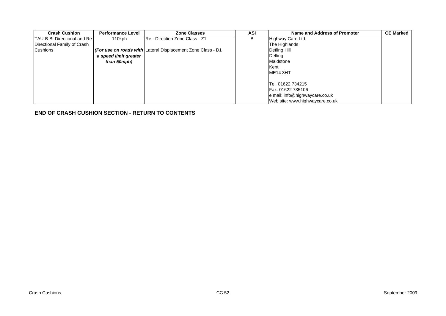| <b>Crash Cushion</b>                | <b>Performance Level</b> | <b>Zone Classes</b>                                         | ASI | Name and Address of Promoter    | <b>CE Marked</b> |
|-------------------------------------|--------------------------|-------------------------------------------------------------|-----|---------------------------------|------------------|
| <b>TAU-B Bi-Directional and Re-</b> | 110kph                   | IRe - Direction Zone Class - Z1                             | B   | Highway Care Ltd.               |                  |
| Directional Family of Crash         |                          |                                                             |     | The Highlands                   |                  |
| <b>Cushions</b>                     |                          | (For use on roads with Lateral Displacement Zone Class - D1 |     | Detling Hill                    |                  |
|                                     | a speed limit greater    |                                                             |     | Detling                         |                  |
|                                     | than 50mph)              |                                                             |     | Maidstone                       |                  |
|                                     |                          |                                                             |     | <b>I</b> Kent                   |                  |
|                                     |                          |                                                             |     | <b>ME14 3HT</b>                 |                  |
|                                     |                          |                                                             |     |                                 |                  |
|                                     |                          |                                                             |     | Tel. 01622 734215               |                  |
|                                     |                          |                                                             |     | <b>Fax. 01622 735106</b>        |                  |
|                                     |                          |                                                             |     | e mail: info@highwaycare.co.uk  |                  |
|                                     |                          |                                                             |     | Web site: www.highwaycare.co.uk |                  |

**[END OF CRASH CUSHION SECTION - RETURN TO CONTENTS](#page-0-0)**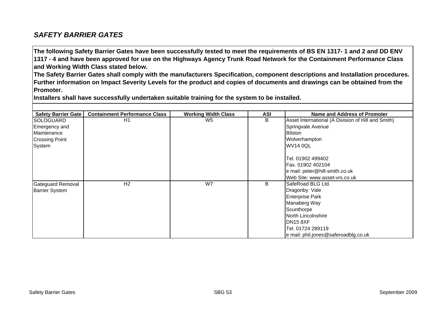## <span id="page-54-0"></span>*SAFETY BARRIER GATES*

**The following Safety Barrier Gates have been successfully tested to meet the requirements of BS EN 1317- 1 and 2 and DD ENV 1317 - 4 and have been approved for use on the Highways Agency Trunk Road Network for the Containment Performance Class and Working Width Class stated below.** 

**The Safety Barrier Gates shall comply with the manufacturers Specification, component descriptions and Installation procedures. Further information on Impact Severity Levels for the product and copies of documents and drawings can be obtained from the Promoter.**

**Installers shall have successfully undertaken suitable training for the system to be installed.**

| <b>Safety Barrier Gate</b> | <b>Containment Performance Class</b> | <b>Working Width Class</b> | ASI | Name and Address of Promoter                       |
|----------------------------|--------------------------------------|----------------------------|-----|----------------------------------------------------|
| <b>SOLOGUARD</b>           | H1                                   | W <sub>5</sub>             | B   | Asset International (A Division of Hill and Smith) |
| Emergency and              |                                      |                            |     | Springvale Avenue                                  |
|                            |                                      |                            |     |                                                    |
| Maintenance                |                                      |                            |     | <b>Bilston</b>                                     |
| <b>Crossing Point</b>      |                                      |                            |     | Wolverhampton                                      |
| System                     |                                      |                            |     | <b>WV14 0QL</b>                                    |
|                            |                                      |                            |     |                                                    |
|                            |                                      |                            |     | Tel. 01902 499402                                  |
|                            |                                      |                            |     | Fax. 01902 402104                                  |
|                            |                                      |                            |     | e mail: peter@hill-smith.co.uk                     |
|                            |                                      |                            |     | Web Site: www.asset-vrs.co.uk                      |
| <b>Gateguard Removal</b>   | H <sub>2</sub>                       | W7                         | В   | SafeRoad BLG Ltd.                                  |
| <b>Barrier System</b>      |                                      |                            |     | Dragonby Vale                                      |
|                            |                                      |                            |     | <b>Enterprise Park</b>                             |
|                            |                                      |                            |     | Manaberg Way                                       |
|                            |                                      |                            |     | Scunthorpe                                         |
|                            |                                      |                            |     | North Lincolnshire                                 |
|                            |                                      |                            |     | <b>DN15 8XF</b>                                    |
|                            |                                      |                            |     | Tel. 01724 289119                                  |
|                            |                                      |                            |     | e mail: phil.jones@saferoadblg.co.uk               |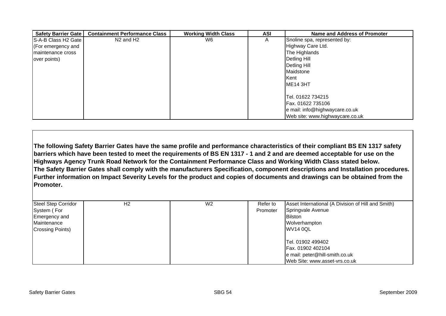| Safety Barrier Gate | <b>Containment Performance Class</b> | <b>Working Width Class</b> | ASI | Name and Address of Promoter    |
|---------------------|--------------------------------------|----------------------------|-----|---------------------------------|
| S-A-B Class H2 Gate | N <sub>2</sub> and H <sub>2</sub>    | W6.                        | A   | Snoline spa, represented by:    |
| (For emergency and  |                                      |                            |     | Highway Care Ltd.               |
| Imaintenance cross  |                                      |                            |     | The Highlands                   |
| over points)        |                                      |                            |     | Detling Hill                    |
|                     |                                      |                            |     | Detling Hill                    |
|                     |                                      |                            |     | Maidstone                       |
|                     |                                      |                            |     | <b>Kent</b>                     |
|                     |                                      |                            |     | ME <sub>14</sub> 3HT            |
|                     |                                      |                            |     |                                 |
|                     |                                      |                            |     | Tel. 01622 734215               |
|                     |                                      |                            |     | Fax. 01622 735106               |
|                     |                                      |                            |     | e mail: info@highwaycare.co.uk  |
|                     |                                      |                            |     | Web site: www.highwaycare.co.uk |

**The following Safety Barrier Gates have the same profile and performance characteristics of their compliant BS EN 1317 safety barriers which have been tested to meet the requirements of BS EN 1317 - 1 and 2 and are deemed acceptable for use on the Highways Agency Trunk Road Network for the Containment Performance Class and Working Width Class stated below. The Safety Barrier Gates shall comply with the manufacturers Specification, component descriptions and Installation procedures. Further information on Impact Severity Levels for the product and copies of documents and drawings can be obtained from the Promoter.**

| <b>Steel Step Corridor</b> | H <sub>2</sub> | W <sub>2</sub> | Refer to | Asset International (A Division of Hill and Smith) |
|----------------------------|----------------|----------------|----------|----------------------------------------------------|
| System (For                |                |                | Promoter | Springvale Avenue                                  |
| Emergency and              |                |                |          | <b>Bilston</b>                                     |
| Maintenance                |                |                |          | Wolverhampton                                      |
| <b>Crossing Points)</b>    |                |                |          | <b>WV14 0QL</b>                                    |
|                            |                |                |          |                                                    |
|                            |                |                |          | Tel. 01902 499402                                  |
|                            |                |                |          | Fax. 01902 402104                                  |
|                            |                |                |          | e mail: peter@hill-smith.co.uk                     |
|                            |                |                |          | Web Site: www.asset-vrs.co.uk                      |